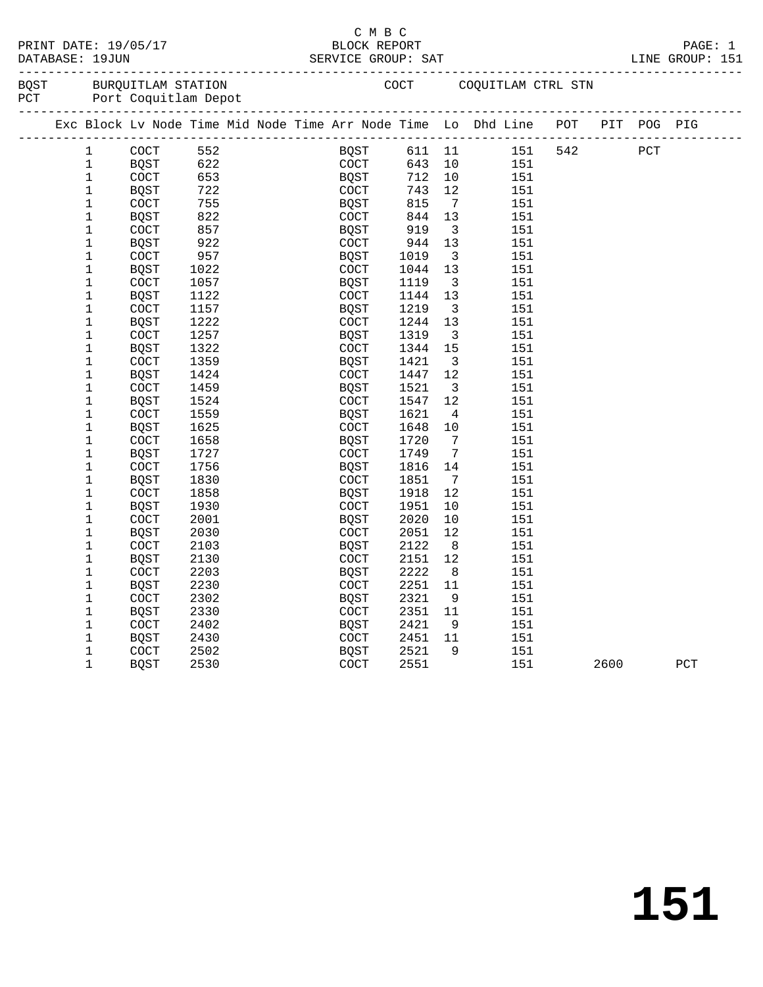| PRINT DATE: |  | 19/05/1                       |  |
|-------------|--|-------------------------------|--|
| ---------   |  | $\blacksquare$ $\blacksquare$ |  |

# C M B C<br>C M B C<br>BLOCK REPOI

|      |              |                                                |      |  |              |         | LINE GROUP: 151         | PAGE: 1                                                                        |      |     |  |
|------|--------------|------------------------------------------------|------|--|--------------|---------|-------------------------|--------------------------------------------------------------------------------|------|-----|--|
| BOST |              | BURQUITLAM STATION<br>PCT Port Coquitlam Depot |      |  |              |         |                         | COCT COQUITLAM CTRL STN                                                        |      |     |  |
|      |              |                                                |      |  |              |         |                         | Exc Block Lv Node Time Mid Node Time Arr Node Time Lo Dhd Line POT PIT POG PIG |      |     |  |
|      | $\mathbf 1$  | COCT                                           | 552  |  | <b>BQST</b>  | 611 11  |                         | 151 542                                                                        | PCT  |     |  |
|      | $\mathbf 1$  | BQST                                           | 622  |  | COCT         | 643 10  |                         | 151                                                                            |      |     |  |
|      | 1            | COCT                                           | 653  |  | <b>BQST</b>  | 712 10  |                         | 151                                                                            |      |     |  |
|      | $\mathbf 1$  | BOST                                           | 722  |  |              | 743 12  |                         | 151                                                                            |      |     |  |
|      | $\mathbf 1$  | COCT                                           | 755  |  | COCT<br>BQST | 815     | $\overline{7}$          | 151                                                                            |      |     |  |
|      | 1            | BQST                                           | 822  |  | COCT         | 844 13  |                         | 151                                                                            |      |     |  |
|      | $\mathbf 1$  | <b>COCT</b>                                    | 857  |  | BOST         | 919     | $\overline{\mathbf{3}}$ | 151                                                                            |      |     |  |
|      | $\mathbf 1$  | BQST                                           | 922  |  | COCT         | 944     | 13                      | 151                                                                            |      |     |  |
|      | $\mathbf{1}$ | COCT                                           | 957  |  | BQST         | 1019    | $\overline{\mathbf{3}}$ | 151                                                                            |      |     |  |
|      | 1            | BQST                                           | 1022 |  | COCT         | 1044    | 13                      | 151                                                                            |      |     |  |
|      | 1            | COCT                                           | 1057 |  | BQST         | 1119    | $\overline{\mathbf{3}}$ | 151                                                                            |      |     |  |
|      | $\mathbf 1$  | BOST                                           | 1122 |  | COCT         | 1144 13 |                         | 151                                                                            |      |     |  |
|      | $\mathbf 1$  | COCT                                           | 1157 |  | BQST         | 1219    | $\overline{\mathbf{3}}$ | 151                                                                            |      |     |  |
|      | $\mathbf 1$  | BQST                                           | 1222 |  | COCT         | 1244    | 13                      | 151                                                                            |      |     |  |
|      | $\mathbf 1$  | COCT                                           | 1257 |  | BQST         | 1319    | $\overline{\mathbf{3}}$ | 151                                                                            |      |     |  |
|      | $\mathbf 1$  | BQST                                           | 1322 |  | COCT         | 1344 15 |                         | 151                                                                            |      |     |  |
|      | $\mathbf 1$  | <b>COCT</b>                                    | 1359 |  | BQST         | 1421    | $\overline{\mathbf{3}}$ | 151                                                                            |      |     |  |
|      | $\mathbf 1$  | BQST                                           | 1424 |  | COCT         | 1447    | 12                      | 151                                                                            |      |     |  |
|      | $\mathbf 1$  | <b>COCT</b>                                    | 1459 |  | BOST         | 1521    | $\overline{\mathbf{3}}$ | 151                                                                            |      |     |  |
|      | 1            | BQST                                           | 1524 |  | COCT         | 1547    | 12                      | 151                                                                            |      |     |  |
|      | $\mathbf 1$  | <b>COCT</b>                                    | 1559 |  | BOST         | 1621    | $\overline{4}$          | 151                                                                            |      |     |  |
|      | 1            | <b>BQST</b>                                    | 1625 |  | COCT         | 1648 10 |                         | 151                                                                            |      |     |  |
|      | $\mathbf 1$  | COCT                                           | 1658 |  | BQST         | 1720    | $\overline{7}$          | 151                                                                            |      |     |  |
|      | $\mathbf 1$  | BQST                                           | 1727 |  | COCT         | 1749    | $\overline{7}$          | 151                                                                            |      |     |  |
|      | $\mathbf 1$  | <b>COCT</b>                                    | 1756 |  | BQST         | 1816 14 |                         | 151                                                                            |      |     |  |
|      | 1            | <b>BQST</b>                                    | 1830 |  | COCT         | 1851    | $\overline{7}$          | 151                                                                            |      |     |  |
|      | $\mathbf 1$  | COCT                                           | 1858 |  | BQST         | 1918    | 12                      | 151                                                                            |      |     |  |
|      | $\mathbf 1$  | BQST                                           | 1930 |  | COCT         | 1951    | 10                      | 151                                                                            |      |     |  |
|      | $\mathbf 1$  | <b>COCT</b>                                    | 2001 |  | BQST         | 2020    | 10                      | 151                                                                            |      |     |  |
|      | $\mathbf 1$  | BQST                                           | 2030 |  | COCT         | 2051    | 12                      | 151                                                                            |      |     |  |
|      | 1            | COCT                                           | 2103 |  | BQST         | 2122    | 8 <sup>8</sup>          | 151                                                                            |      |     |  |
|      | $\mathbf 1$  | BQST                                           | 2130 |  | COCT         | 2151    | 12                      | 151                                                                            |      |     |  |
|      | $\mathbf 1$  | <b>COCT</b>                                    | 2203 |  | BOST         | 2222    | 8 <sup>8</sup>          | 151                                                                            |      |     |  |
|      | $\mathbf 1$  | BQST                                           | 2230 |  | COCT         | 2251 11 |                         | 151                                                                            |      |     |  |
|      | 1            | COCT                                           | 2302 |  | BOST         | 2321    | 9                       | 151                                                                            |      |     |  |
|      | $\mathbf 1$  | BQST                                           | 2330 |  | COCT         | 2351 11 |                         | 151                                                                            |      |     |  |
|      | $\mathbf 1$  | COCT                                           | 2402 |  | BOST         | 2421    | 9 <sup>°</sup>          | 151                                                                            |      |     |  |
|      | $\mathbf 1$  | BQST                                           | 2430 |  | <b>COCT</b>  | 2451    | 11                      | 151                                                                            |      |     |  |
|      | 1            | <b>COCT</b>                                    | 2502 |  | BQST         | 2521    | $\overline{9}$          | 151                                                                            |      |     |  |
|      | $\mathbf{1}$ | <b>BQST</b>                                    | 2530 |  | COCT         | 2551    |                         | 151                                                                            | 2600 | PCT |  |
|      |              |                                                |      |  |              |         |                         |                                                                                |      |     |  |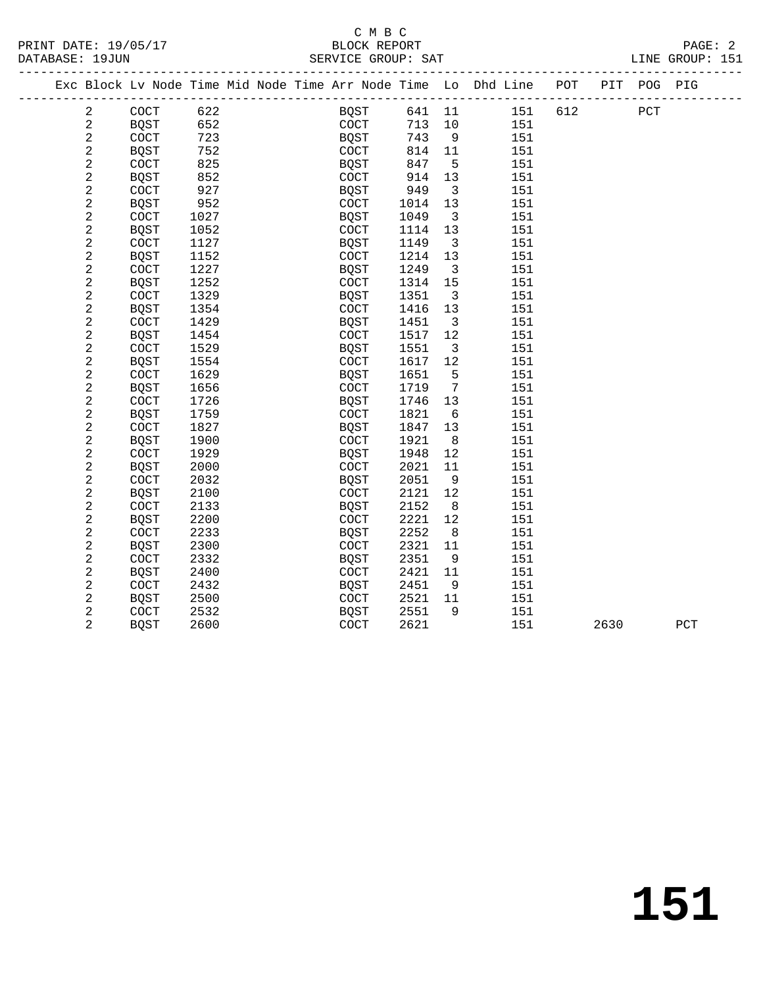|  |                |                      |      |  |                      |        |                         | Exc Block Lv Node Time Mid Node Time Arr Node Time Lo Dhd Line POT PIT POG PIG |     |      |     |     |
|--|----------------|----------------------|------|--|----------------------|--------|-------------------------|--------------------------------------------------------------------------------|-----|------|-----|-----|
|  | $\overline{a}$ | COCT                 | 622  |  | <b>BOST</b>          | 641 11 |                         | 151                                                                            | 612 |      | PCT |     |
|  | $\sqrt{2}$     | <b>BQST</b>          | 652  |  | COCT                 | 713    | 10                      | 151                                                                            |     |      |     |     |
|  | $\overline{c}$ | COCT                 | 723  |  | <b>BQST</b>          | 743    | 9                       | 151                                                                            |     |      |     |     |
|  | 2              | <b>BQST</b>          | 752  |  | $\operatorname{COT}$ | 814    | 11                      | 151                                                                            |     |      |     |     |
|  | $\overline{c}$ | COCT                 | 825  |  | BQST                 | 847    | 5                       | 151                                                                            |     |      |     |     |
|  | $\overline{c}$ | <b>BQST</b>          | 852  |  | $\operatorname{COT}$ | 914    | 13                      | 151                                                                            |     |      |     |     |
|  | $\overline{c}$ | COCT                 | 927  |  | BQST                 | 949    | $\overline{\mathbf{3}}$ | 151                                                                            |     |      |     |     |
|  | $\overline{a}$ | <b>BQST</b>          | 952  |  | COCT                 | 1014   | 13                      | 151                                                                            |     |      |     |     |
|  | $\overline{c}$ | COCT                 | 1027 |  | BQST                 | 1049   | 3                       | 151                                                                            |     |      |     |     |
|  | $\overline{c}$ | <b>BQST</b>          | 1052 |  | COCT                 | 1114   | 13                      | 151                                                                            |     |      |     |     |
|  | $\sqrt{2}$     | COCT                 | 1127 |  | <b>BQST</b>          | 1149   | $\overline{\mathbf{3}}$ | 151                                                                            |     |      |     |     |
|  | $\overline{a}$ | <b>BOST</b>          | 1152 |  | <b>COCT</b>          | 1214   | 13                      | 151                                                                            |     |      |     |     |
|  | $\sqrt{2}$     | COCT                 | 1227 |  | <b>BQST</b>          | 1249   | $\overline{3}$          | 151                                                                            |     |      |     |     |
|  | $\sqrt{2}$     | <b>BQST</b>          | 1252 |  | COCT                 | 1314   | 15                      | 151                                                                            |     |      |     |     |
|  | $\overline{a}$ | COCT                 | 1329 |  | BQST                 | 1351   | $\overline{3}$          | 151                                                                            |     |      |     |     |
|  | $\sqrt{2}$     | <b>BQST</b>          | 1354 |  | <b>COCT</b>          | 1416   | 13                      | 151                                                                            |     |      |     |     |
|  | 2              | COCT                 | 1429 |  | BQST                 | 1451   | $\overline{\mathbf{3}}$ | 151                                                                            |     |      |     |     |
|  | $\sqrt{2}$     | <b>BQST</b>          | 1454 |  | $\operatorname{COT}$ | 1517   | 12                      | 151                                                                            |     |      |     |     |
|  | 2              | $\operatorname{COT}$ | 1529 |  | BQST                 | 1551   | $\overline{3}$          | 151                                                                            |     |      |     |     |
|  | $\overline{c}$ | <b>BQST</b>          | 1554 |  | COCT                 | 1617   | 12                      | 151                                                                            |     |      |     |     |
|  | $\sqrt{2}$     | COCT                 | 1629 |  | BQST                 | 1651   | 5                       | 151                                                                            |     |      |     |     |
|  | $\sqrt{2}$     | <b>BQST</b>          | 1656 |  | $\operatorname{COT}$ | 1719   | $7\phantom{.0}$         | 151                                                                            |     |      |     |     |
|  | 2              | COCT                 | 1726 |  | BQST                 | 1746   | 13                      | 151                                                                            |     |      |     |     |
|  | $\overline{c}$ | <b>BQST</b>          | 1759 |  | COCT                 | 1821   | 6                       | 151                                                                            |     |      |     |     |
|  | $\overline{2}$ | COCT                 | 1827 |  | <b>BQST</b>          | 1847   | 13                      | 151                                                                            |     |      |     |     |
|  | 2              | <b>BQST</b>          | 1900 |  | COCT                 | 1921   | 8                       | 151                                                                            |     |      |     |     |
|  | $\overline{a}$ | COCT                 | 1929 |  | <b>BQST</b>          | 1948   | 12                      | 151                                                                            |     |      |     |     |
|  | 2              | <b>BQST</b>          | 2000 |  | <b>COCT</b>          | 2021   | 11                      | 151                                                                            |     |      |     |     |
|  | $\sqrt{2}$     | COCT                 | 2032 |  | <b>BQST</b>          | 2051   | 9                       | 151                                                                            |     |      |     |     |
|  | 2              | <b>BQST</b>          | 2100 |  | COCT                 | 2121   | 12                      | 151                                                                            |     |      |     |     |
|  | $\sqrt{2}$     | COCT                 | 2133 |  | <b>BOST</b>          | 2152   | 8                       | 151                                                                            |     |      |     |     |
|  | $\sqrt{2}$     | <b>BQST</b>          | 2200 |  | COCT                 | 2221   | 12                      | 151                                                                            |     |      |     |     |
|  | $\sqrt{2}$     | COCT                 | 2233 |  | BQST                 | 2252   | 8                       | 151                                                                            |     |      |     |     |
|  | $\sqrt{2}$     | <b>BQST</b>          | 2300 |  | $\operatorname{COT}$ | 2321   | 11                      | 151                                                                            |     |      |     |     |
|  | $\sqrt{2}$     | COCT                 | 2332 |  | <b>BQST</b>          | 2351   | 9                       | 151                                                                            |     |      |     |     |
|  | $\overline{c}$ | <b>BQST</b>          | 2400 |  | $\operatorname{COT}$ | 2421   | 11                      | 151                                                                            |     |      |     |     |
|  | $\overline{c}$ | COCT                 | 2432 |  | <b>BQST</b>          | 2451   | 9                       | 151                                                                            |     |      |     |     |
|  | $\sqrt{2}$     | <b>BQST</b>          | 2500 |  | $\operatorname{COT}$ | 2521   | 11                      | 151                                                                            |     |      |     |     |
|  | 2              | COCT                 | 2532 |  | <b>BQST</b>          | 2551   | 9                       | 151                                                                            |     |      |     |     |
|  | $\overline{2}$ | <b>BQST</b>          | 2600 |  | COCT                 | 2621   |                         | 151                                                                            |     | 2630 |     | PCT |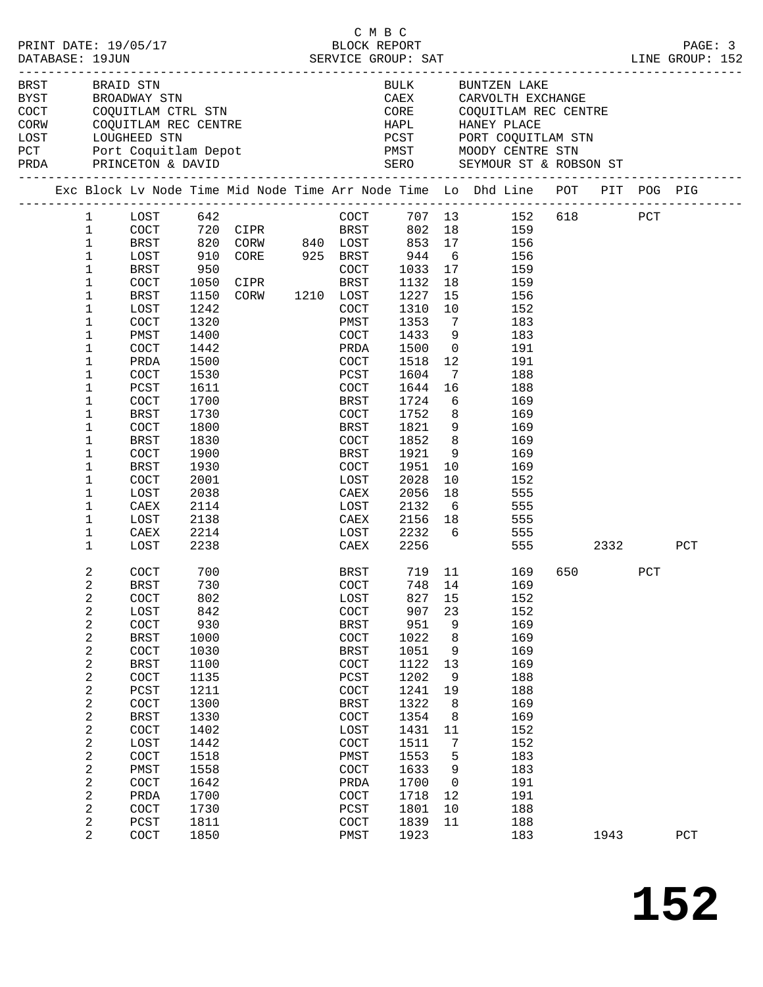|  |                              | PRINT DATE: 19/05/17     |              |                                                                           | C M B C<br>BLOCK REPORT |                  |                 |                                                                                |         |      | PAGE: 3 |
|--|------------------------------|--------------------------|--------------|---------------------------------------------------------------------------|-------------------------|------------------|-----------------|--------------------------------------------------------------------------------|---------|------|---------|
|  | DATABASE: 19JUN              |                          |              |                                                                           |                         |                  |                 |                                                                                |         |      |         |
|  | BRST BRAID STN               | BYST BROADWAY STN        |              |                                                                           |                         |                  |                 | BULK BUNTZEN LAKE<br>CAEX CARVOLTH EXCHANGE                                    |         |      |         |
|  |                              |                          |              | COCT COQUITLAM CTRL STN<br>CORW COQUITLAM REC CENTRE<br>LOST LOUGHEED STN |                         |                  |                 | CORE COQUITLAM REC CENTRE                                                      |         |      |         |
|  |                              |                          |              |                                                                           |                         |                  |                 |                                                                                |         |      |         |
|  |                              |                          |              |                                                                           |                         |                  |                 |                                                                                |         |      |         |
|  |                              | PCT Port Coquitlam Depot |              |                                                                           |                         |                  |                 | PMST MOODY CENTRE STN                                                          |         |      |         |
|  |                              | PRDA PRINCETON & DAVID   |              |                                                                           |                         |                  |                 | SERO SEYMOUR ST & ROBSON ST                                                    |         |      |         |
|  |                              |                          |              |                                                                           |                         |                  |                 | Exc Block Lv Node Time Mid Node Time Arr Node Time Lo Dhd Line POT PIT POG PIG |         |      |         |
|  | $\mathbf{1}$                 | $LOST$ 642               |              |                                                                           |                         |                  |                 | COCT 707 13 152 618 PCT                                                        |         |      |         |
|  | $\mathbf{1}$                 |                          |              |                                                                           |                         |                  |                 | COCT 720 CIPR BRST 802 18 159<br>BRST 820 CORW 840 LOST 853 17 156             |         |      |         |
|  | $\mathbf{1}$<br>$\mathbf{1}$ | LOST                     |              | 910 CORE 925 BRST 944                                                     |                         |                  | 6               | 156                                                                            |         |      |         |
|  | $\mathbf{1}$                 | BRST                     | 950          |                                                                           |                         | 1033             | 17              | 159                                                                            |         |      |         |
|  | 1                            | COCT                     |              | 950 COCT<br>1050 CIPR BRST<br>1150 CORW 1210 LOST                         |                         |                  | 18              | 159                                                                            |         |      |         |
|  | 1                            | BRST                     |              |                                                                           |                         | $1132$<br>$1227$ | 15              | 156                                                                            |         |      |         |
|  | 1                            | LOST                     | 1242         |                                                                           | COCT                    | 1310             | 10              | 152                                                                            |         |      |         |
|  | 1                            | COCT                     | 1320         |                                                                           | PMST                    | 1353             | $\overline{7}$  | 183                                                                            |         |      |         |
|  | 1                            | PMST                     | 1400         |                                                                           | COCT                    | 1433             | 9               | 183                                                                            |         |      |         |
|  | 1                            | COCT                     | 1442         |                                                                           | PRDA                    | 1500             | $\overline{0}$  | 191                                                                            |         |      |         |
|  | 1                            | PRDA                     | 1500         |                                                                           | COCT                    | 1518             | 12              | 191                                                                            |         |      |         |
|  | 1                            | <b>COCT</b>              | 1530         |                                                                           | PCST                    | 1604             | $\overline{7}$  | 188                                                                            |         |      |         |
|  | 1                            | PCST                     | 1611         |                                                                           | COCT<br>BRST            | 1644<br>1724     | 16<br>6         | 188<br>169                                                                     |         |      |         |
|  | 1<br>1                       | COCT<br>BRST             | 1700<br>1730 |                                                                           | COCT                    | 1752             | 8 <sup>8</sup>  | 169                                                                            |         |      |         |
|  | $\mathbf 1$                  | <b>COCT</b>              | 1800         |                                                                           | BRST                    | 1821             |                 | 9<br>169                                                                       |         |      |         |
|  | 1                            | BRST                     | 1830         |                                                                           | COCT                    | 1852             | 8               | 169                                                                            |         |      |         |
|  | 1                            | COCT                     | 1900         |                                                                           | BRST                    | 1921             | 9               | 169                                                                            |         |      |         |
|  | 1                            | BRST                     | 1930         |                                                                           | COCT                    | 1951             | 10              | 169                                                                            |         |      |         |
|  | 1                            | COCT                     | 2001         |                                                                           | LOST                    | 2028             | 10              | 152                                                                            |         |      |         |
|  | 1                            | LOST                     | 2038         |                                                                           | CAEX                    | 2056             | 18              | 555                                                                            |         |      |         |
|  | 1                            | CAEX                     | 2114         |                                                                           | LOST                    | 2132             | $6\overline{6}$ | 555                                                                            |         |      |         |
|  | $\mathbf 1$                  | LOST                     | 2138         |                                                                           | CAEX                    | 2156             |                 | 18<br>555                                                                      |         |      |         |
|  | 1                            | CAEX                     | 2214         |                                                                           | LOST                    |                  |                 | 2232 6<br>555                                                                  |         |      |         |
|  | 1                            | LOST                     | 2238         |                                                                           | CAEX                    | 2256             |                 | 555 700                                                                        |         | 2332 | PCT     |
|  | 2                            | COCT                     | 700          |                                                                           | BRST                    |                  |                 | 719 11 169                                                                     | 650 700 | PCT  |         |
|  | 2                            | <b>BRST</b><br>COCT      | 730<br>802   |                                                                           | COCT<br>LOST            | 827              | 15              | 748 14 169<br>152                                                              |         |      |         |
|  | 2<br>2                       | LOST                     | 842          |                                                                           | $\operatorname{COCT}$   | 907              | 23              | 152                                                                            |         |      |         |
|  | 2                            | COCT                     | 930          |                                                                           | <b>BRST</b>             | 951              | 9               | 169                                                                            |         |      |         |
|  | 2                            | <b>BRST</b>              | 1000         |                                                                           | COCT                    | 1022             | 8               | 169                                                                            |         |      |         |
|  | 2                            | COCT                     | 1030         |                                                                           | BRST                    | 1051             | 9               | 169                                                                            |         |      |         |
|  | 2                            | <b>BRST</b>              | 1100         |                                                                           | COCT                    | 1122             | 13              | 169                                                                            |         |      |         |
|  | $\boldsymbol{2}$             | COCT                     | 1135         |                                                                           | PCST                    | 1202             | 9               | 188                                                                            |         |      |         |
|  | 2                            | PCST                     | 1211         |                                                                           | COCT                    | 1241             | 19              | 188                                                                            |         |      |         |
|  | 2                            | COCT                     | 1300         |                                                                           | <b>BRST</b>             | 1322             | 8               | 169                                                                            |         |      |         |
|  | 2                            | <b>BRST</b>              | 1330         |                                                                           | COCT                    | 1354             | 8               | 169                                                                            |         |      |         |
|  | $\boldsymbol{2}$             | COCT                     | 1402         |                                                                           | LOST                    | 1431             | 11              | 152                                                                            |         |      |         |
|  | 2<br>2                       | LOST<br>COCT             | 1442<br>1518 |                                                                           | COCT<br>PMST            | 1511<br>1553     | 7<br>5          | 152<br>183                                                                     |         |      |         |
|  | 2                            | PMST                     | 1558         |                                                                           | COCT                    | 1633             | 9               | 183                                                                            |         |      |         |
|  | $\overline{c}$               | COCT                     | 1642         |                                                                           | PRDA                    | 1700             | 0               | 191                                                                            |         |      |         |
|  | 2                            | PRDA                     | 1700         |                                                                           | COCT                    | 1718             | 12              | 191                                                                            |         |      |         |
|  | 2                            | COCT                     | 1730         |                                                                           | PCST                    | 1801             | 10              | 188                                                                            |         |      |         |
|  | 2                            | PCST                     | 1811         |                                                                           | COCT                    | 1839             | 11              | 188                                                                            |         |      |         |
|  | 2                            | COCT                     | 1850         |                                                                           | PMST                    | 1923             |                 | 183                                                                            | 1943    |      | PCT     |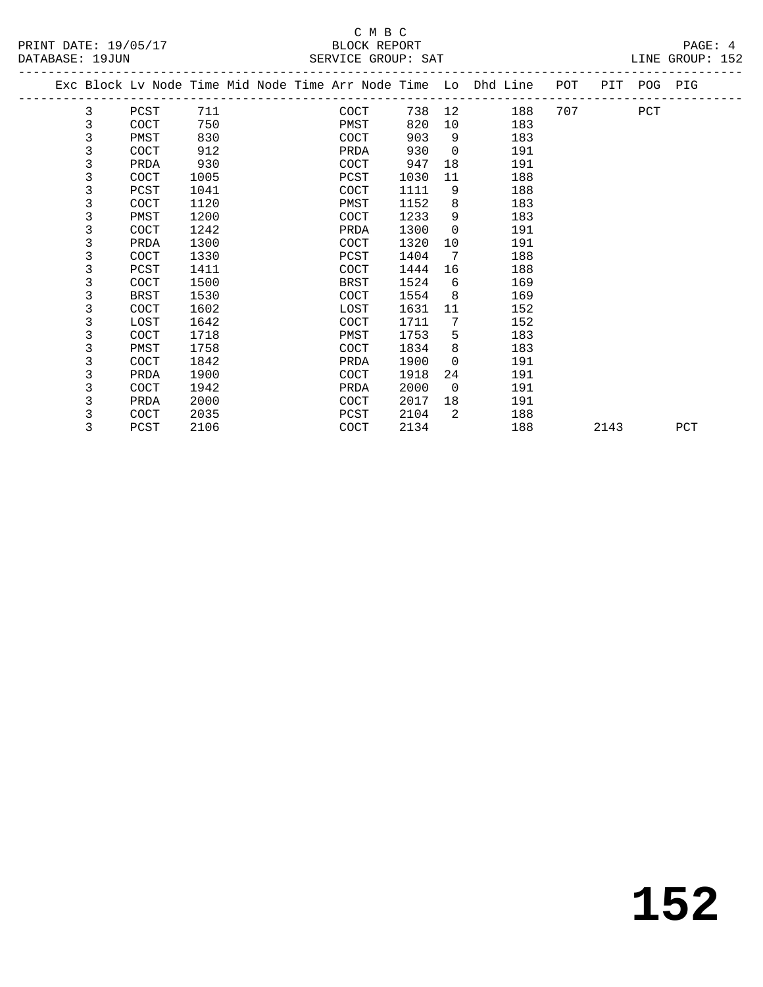# C M B C<br>BLOCK REPORT

|          | _________ | _ _ _ _ _ _ _ _ _ _ _ _ _ _                  |      | --------- |            |
|----------|-----------|----------------------------------------------|------|-----------|------------|
| DATABASE | ⊥9JUN     | SAT<br>GROUP.<br>SERVIL<br>. . H.<br>- - - - | ⊥INF | GROU      | . <b>.</b> |
|          |           |                                              |      |           |            |

 Exc Block Lv Node Time Mid Node Time Arr Node Time Lo Dhd Line POT PIT POG PIG ------------------------------------------------------------------------------------------------- 3 PCST 711 COCT 738 12 188 707 PCT 3 COCT 750 PMST 820 10 183 3 PMST 830 COCT 903 9 183 3 COCT 912 PRDA 930 0 191

| 3 | PRDA | 930  | COCT | 947  | 18 | 191 |      |     |
|---|------|------|------|------|----|-----|------|-----|
| 3 | COCT | 1005 | PCST | 1030 | 11 | 188 |      |     |
| 3 | PCST | 1041 | COCT | 1111 | 9  | 188 |      |     |
| 3 | COCT | 1120 | PMST | 1152 | 8  | 183 |      |     |
| 3 | PMST | 1200 | COCT | 1233 | 9  | 183 |      |     |
| 3 | COCT | 1242 | PRDA | 1300 | 0  | 191 |      |     |
| 3 | PRDA | 1300 | COCT | 1320 | 10 | 191 |      |     |
| 3 | COCT | 1330 | PCST | 1404 | 7  | 188 |      |     |
| 3 | PCST | 1411 | COCT | 1444 | 16 | 188 |      |     |
| 3 | COCT | 1500 | BRST | 1524 | 6  | 169 |      |     |
| 3 | BRST | 1530 | COCT | 1554 | 8  | 169 |      |     |
| 3 | COCT | 1602 | LOST | 1631 | 11 | 152 |      |     |
| 3 | LOST | 1642 | COCT | 1711 | 7  | 152 |      |     |
| 3 | COCT | 1718 | PMST | 1753 | 5  | 183 |      |     |
| 3 | PMST | 1758 | COCT | 1834 | 8  | 183 |      |     |
| 3 | COCT | 1842 | PRDA | 1900 | 0  | 191 |      |     |
| 3 | PRDA | 1900 | COCT | 1918 | 24 | 191 |      |     |
| 3 | COCT | 1942 | PRDA | 2000 | 0  | 191 |      |     |
|   | PRDA | 2000 | COCT | 2017 | 18 | 191 |      |     |
| 3 | COCT | 2035 | PCST | 2104 | 2  | 188 |      |     |
| 3 | PCST | 2106 | COCT | 2134 |    | 188 | 2143 | PCT |
|   |      |      |      |      |    |     |      |     |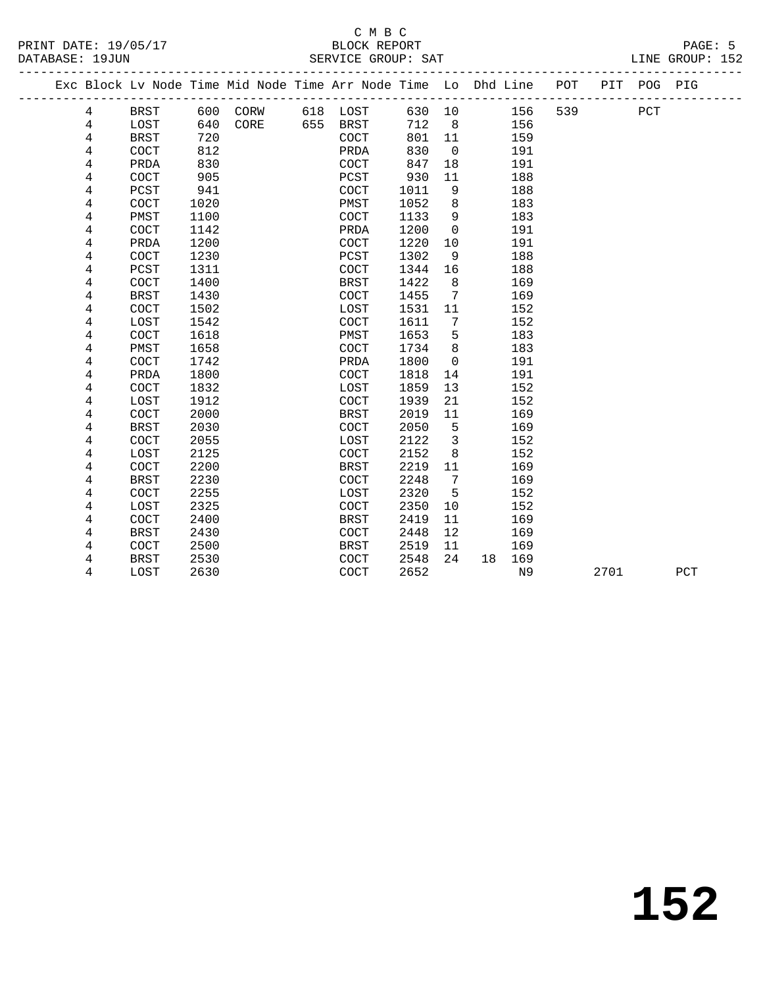### C M B C<br>BLOCK REPORT DATABASE: 19JUN SERVICE GROUP: SAT LINE GROUP: 152

|  |   |                      |      | ---------------------                                              |     |              |        |                 |    |     |     |      |             |     |  |
|--|---|----------------------|------|--------------------------------------------------------------------|-----|--------------|--------|-----------------|----|-----|-----|------|-------------|-----|--|
|  |   |                      |      | Exc Block Lv Node Time Mid Node Time Arr Node Time Lo Dhd Line POT |     |              |        |                 |    |     |     |      | PIT POG PIG |     |  |
|  | 4 | BRST                 | 600  | CORW                                                               |     | 618 LOST     | 630 10 |                 |    | 156 | 539 |      | PCT         |     |  |
|  | 4 | LOST                 | 640  | CORE                                                               | 655 | BRST         | 712    | 8 <sup>8</sup>  |    | 156 |     |      |             |     |  |
|  | 4 | <b>BRST</b>          | 720  |                                                                    |     | COCT         | 801    | 11              |    | 159 |     |      |             |     |  |
|  | 4 | COCT                 | 812  |                                                                    |     | PRDA         | 830    | $\overline{0}$  |    | 191 |     |      |             |     |  |
|  | 4 | PRDA                 | 830  |                                                                    |     | <b>COCT</b>  | 847    | 18              |    | 191 |     |      |             |     |  |
|  | 4 | COCT                 | 905  |                                                                    |     | ${\tt PCST}$ | 930    | 11              |    | 188 |     |      |             |     |  |
|  | 4 | ${\tt PCST}$         | 941  |                                                                    |     | COCT         | 1011   | 9               |    | 188 |     |      |             |     |  |
|  | 4 | $\operatorname{COT}$ | 1020 |                                                                    |     | PMST         | 1052   | 8               |    | 183 |     |      |             |     |  |
|  | 4 | PMST                 | 1100 |                                                                    |     | COCT         | 1133   | 9               |    | 183 |     |      |             |     |  |
|  | 4 | <b>COCT</b>          | 1142 |                                                                    |     | PRDA         | 1200   | $\mathsf{O}$    |    | 191 |     |      |             |     |  |
|  | 4 | PRDA                 | 1200 |                                                                    |     | <b>COCT</b>  | 1220   | 10              |    | 191 |     |      |             |     |  |
|  | 4 | COCT                 | 1230 |                                                                    |     | PCST         | 1302   | 9               |    | 188 |     |      |             |     |  |
|  | 4 | PCST                 | 1311 |                                                                    |     | COCT         | 1344   | 16              |    | 188 |     |      |             |     |  |
|  | 4 | COCT                 | 1400 |                                                                    |     | <b>BRST</b>  | 1422   | 8               |    | 169 |     |      |             |     |  |
|  | 4 | <b>BRST</b>          | 1430 |                                                                    |     | COCT         | 1455   | $7\phantom{.0}$ |    | 169 |     |      |             |     |  |
|  | 4 | $\operatorname{COT}$ | 1502 |                                                                    |     | LOST         | 1531   | 11              |    | 152 |     |      |             |     |  |
|  | 4 | LOST                 | 1542 |                                                                    |     | COCT         | 1611   | 7               |    | 152 |     |      |             |     |  |
|  | 4 | COCT                 | 1618 |                                                                    |     | PMST         | 1653   | 5               |    | 183 |     |      |             |     |  |
|  | 4 | PMST                 | 1658 |                                                                    |     | <b>COCT</b>  | 1734   | 8               |    | 183 |     |      |             |     |  |
|  | 4 | COCT                 | 1742 |                                                                    |     | PRDA         | 1800   | $\Omega$        |    | 191 |     |      |             |     |  |
|  | 4 | PRDA                 | 1800 |                                                                    |     | <b>COCT</b>  | 1818   | 14              |    | 191 |     |      |             |     |  |
|  | 4 | COCT                 | 1832 |                                                                    |     | LOST         | 1859   | 13              |    | 152 |     |      |             |     |  |
|  | 4 | LOST                 | 1912 |                                                                    |     | COCT         | 1939   | 21              |    | 152 |     |      |             |     |  |
|  | 4 | COCT                 | 2000 |                                                                    |     | <b>BRST</b>  | 2019   | 11              |    | 169 |     |      |             |     |  |
|  | 4 | <b>BRST</b>          | 2030 |                                                                    |     | COCT         | 2050   | 5               |    | 169 |     |      |             |     |  |
|  | 4 | COCT                 | 2055 |                                                                    |     | LOST         | 2122   | $\overline{3}$  |    | 152 |     |      |             |     |  |
|  | 4 | LOST                 | 2125 |                                                                    |     | COCT         | 2152   | 8               |    | 152 |     |      |             |     |  |
|  | 4 | COCT                 | 2200 |                                                                    |     | <b>BRST</b>  | 2219   | 11              |    | 169 |     |      |             |     |  |
|  | 4 | <b>BRST</b>          | 2230 |                                                                    |     | <b>COCT</b>  | 2248   | 7               |    | 169 |     |      |             |     |  |
|  | 4 | COCT                 | 2255 |                                                                    |     | LOST         | 2320   | 5               |    | 152 |     |      |             |     |  |
|  | 4 | LOST                 | 2325 |                                                                    |     | COCT         | 2350   | 10              |    | 152 |     |      |             |     |  |
|  | 4 | COCT                 | 2400 |                                                                    |     | <b>BRST</b>  | 2419   | 11              |    | 169 |     |      |             |     |  |
|  | 4 | BRST                 | 2430 |                                                                    |     | COCT         | 2448   | 12              |    | 169 |     |      |             |     |  |
|  | 4 | $\operatorname{COT}$ | 2500 |                                                                    |     | BRST         | 2519   | 11              |    | 169 |     |      |             |     |  |
|  | 4 | <b>BRST</b>          | 2530 |                                                                    |     | <b>COCT</b>  | 2548   | 24              | 18 | 169 |     |      |             |     |  |
|  | 4 | LOST                 | 2630 |                                                                    |     | <b>COCT</b>  | 2652   |                 |    | N9  |     | 2701 |             | PCT |  |
|  |   |                      |      |                                                                    |     |              |        |                 |    |     |     |      |             |     |  |

**152**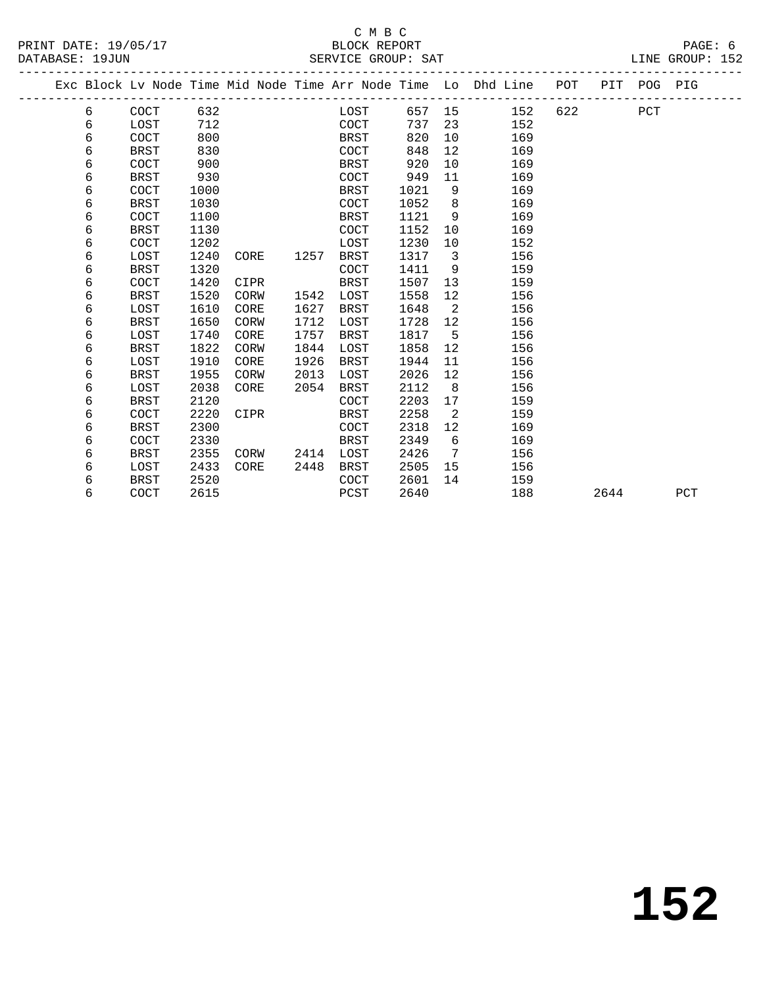### C M B C DATABASE: 19JUN SERVICE GROUP: SAT LINE GROUP: 152

| PRINT DATE: 19/05/17 | BLOCK REPORT | PAGE: |
|----------------------|--------------|-------|
|----------------------|--------------|-------|

|  |   |             |      |      |      |             |      |                         | Exc Block Lv Node Time Mid Node Time Arr Node Time Lo Dhd Line POT |         |      | PIT POG PIG |     |
|--|---|-------------|------|------|------|-------------|------|-------------------------|--------------------------------------------------------------------|---------|------|-------------|-----|
|  | 6 | COCT        | 632  |      |      | LOST        |      |                         | 657 15<br>152                                                      | 622 620 |      | PCT         |     |
|  | 6 | LOST        | 712  |      |      | COCT        | 737  | 23                      | 152                                                                |         |      |             |     |
|  | 6 | COCT        | 800  |      |      | BRST        | 820  | 10                      | 169                                                                |         |      |             |     |
|  | 6 | <b>BRST</b> | 830  |      |      | COCT        | 848  | $12 \overline{ }$       | 169                                                                |         |      |             |     |
|  | 6 | COCT        | 900  |      |      | BRST        | 920  | 10                      | 169                                                                |         |      |             |     |
|  | 6 | <b>BRST</b> | 930  |      |      | COCT        | 949  | 11                      | 169                                                                |         |      |             |     |
|  | 6 | COCT        | 1000 |      |      | BRST        | 1021 | 9                       | 169                                                                |         |      |             |     |
|  | 6 | <b>BRST</b> | 1030 |      |      | COCT        | 1052 | 8 <sup>8</sup>          | 169                                                                |         |      |             |     |
|  | 6 | COCT        | 1100 |      |      | BRST        | 1121 | - 9                     | 169                                                                |         |      |             |     |
|  | 6 | <b>BRST</b> | 1130 |      |      | COCT        | 1152 | 10                      | 169                                                                |         |      |             |     |
|  | 6 | COCT        | 1202 |      |      | LOST        | 1230 | 10                      | 152                                                                |         |      |             |     |
|  | 6 | LOST        | 1240 | CORE | 1257 | BRST        | 1317 | $\overline{\mathbf{3}}$ | 156                                                                |         |      |             |     |
|  | 6 | <b>BRST</b> | 1320 |      |      | <b>COCT</b> | 1411 | 9                       | 159                                                                |         |      |             |     |
|  | 6 | COCT        | 1420 | CIPR |      | BRST        | 1507 | 13                      | 159                                                                |         |      |             |     |
|  | 6 | BRST        | 1520 | CORW | 1542 | LOST        | 1558 | 12                      | 156                                                                |         |      |             |     |
|  | 6 | LOST        | 1610 | CORE | 1627 | BRST        | 1648 | $\overline{2}$          | 156                                                                |         |      |             |     |
|  | 6 | <b>BRST</b> | 1650 | CORW | 1712 | LOST        | 1728 | 12                      | 156                                                                |         |      |             |     |
|  | 6 | LOST        | 1740 | CORE | 1757 | BRST        | 1817 | 5                       | 156                                                                |         |      |             |     |
|  | 6 | <b>BRST</b> | 1822 | CORW | 1844 | LOST        | 1858 | 12                      | 156                                                                |         |      |             |     |
|  | 6 | LOST        | 1910 | CORE | 1926 | BRST        | 1944 | 11                      | 156                                                                |         |      |             |     |
|  | 6 | <b>BRST</b> | 1955 | CORW | 2013 | LOST        | 2026 | 12                      | 156                                                                |         |      |             |     |
|  | 6 | LOST        | 2038 | CORE | 2054 | BRST        | 2112 | 8 <sup>8</sup>          | 156                                                                |         |      |             |     |
|  | б | <b>BRST</b> | 2120 |      |      | <b>COCT</b> | 2203 | 17                      | 159                                                                |         |      |             |     |
|  | 6 | COCT        | 2220 | CIPR |      | BRST        | 2258 | 2                       | 159                                                                |         |      |             |     |
|  | 6 | <b>BRST</b> | 2300 |      |      | COCT        | 2318 | 12                      | 169                                                                |         |      |             |     |
|  | 6 | COCT        | 2330 |      |      | BRST        | 2349 | 6                       | 169                                                                |         |      |             |     |
|  | 6 | <b>BRST</b> | 2355 | CORW | 2414 | LOST        | 2426 | $\overline{7}$          | 156                                                                |         |      |             |     |
|  | 6 | LOST        | 2433 | CORE | 2448 | BRST        | 2505 | 15 <sub>1</sub>         | 156                                                                |         |      |             |     |
|  | 6 | <b>BRST</b> | 2520 |      |      | <b>COCT</b> | 2601 | 14                      | 159                                                                |         |      |             |     |
|  | 6 | COCT        | 2615 |      |      | PCST        | 2640 |                         | 188                                                                |         | 2644 |             | PCT |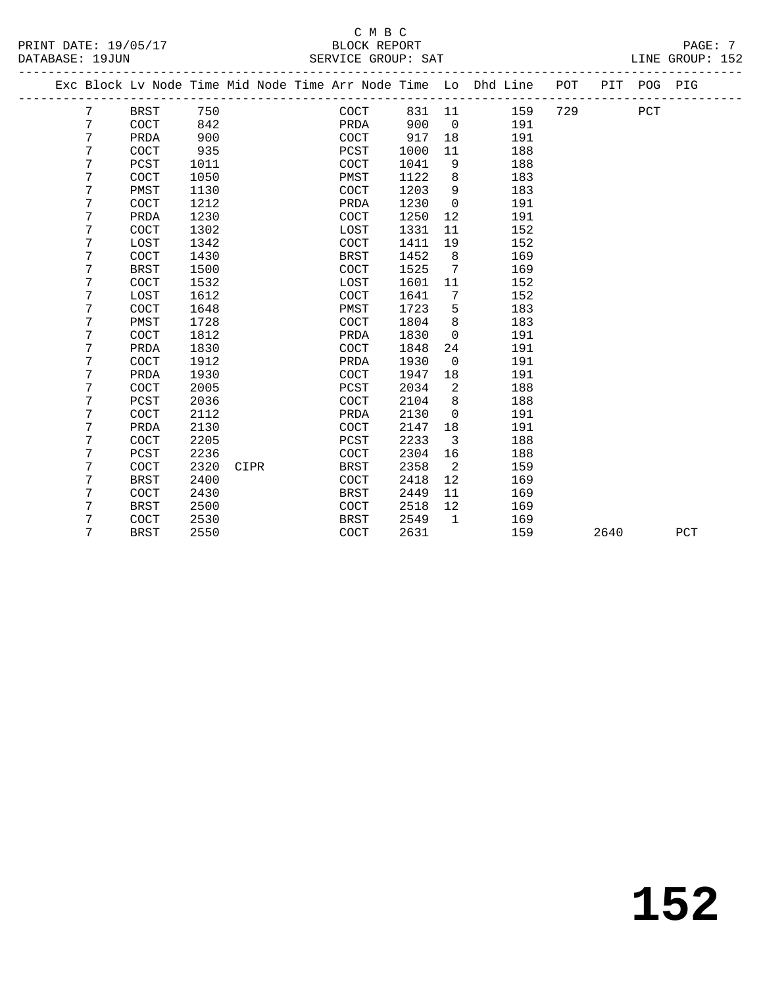#### C M B C<br>BLOCK REPORT PRINT DATE: 19/05/17 BLOCK REPORT PAGE: 7 SERVICE GROUP: SAT

|  |        |              |              |      |  |              |              |                | Exc Block Lv Node Time Mid Node Time Arr Node Time Lo Dhd Line | POT | PIT  | POG PIG |     |
|--|--------|--------------|--------------|------|--|--------------|--------------|----------------|----------------------------------------------------------------|-----|------|---------|-----|
|  | 7      | <b>BRST</b>  | 750          |      |  | COCT         | 831          | 11             | 159                                                            | 729 |      | PCT     |     |
|  | 7      | COCT         | 842          |      |  | PRDA         | 900          | $\overline{0}$ | 191                                                            |     |      |         |     |
|  | 7      | PRDA         | 900          |      |  | COCT         | 917          | 18             | 191                                                            |     |      |         |     |
|  | 7      | <b>COCT</b>  | 935          |      |  | PCST         | 1000         | 11             | 188                                                            |     |      |         |     |
|  | 7      | PCST         | 1011         |      |  | COCT         | 1041         | 9              | 188                                                            |     |      |         |     |
|  | 7      | <b>COCT</b>  | 1050         |      |  | PMST         | 1122         | 8              | 183                                                            |     |      |         |     |
|  | 7      | PMST         | 1130         |      |  | COCT         | 1203         | 9              | 183                                                            |     |      |         |     |
|  | 7      | COCT         | 1212         |      |  | PRDA         | 1230         | 0              | 191                                                            |     |      |         |     |
|  | 7      | PRDA         | 1230         |      |  | COCT         | 1250         | 12             | 191                                                            |     |      |         |     |
|  | 7      | <b>COCT</b>  | 1302         |      |  | LOST         | 1331         | 11             | 152                                                            |     |      |         |     |
|  | 7      | LOST         | 1342         |      |  | COCT         | 1411         | 19             | 152                                                            |     |      |         |     |
|  | 7      | <b>COCT</b>  | 1430         |      |  | <b>BRST</b>  | 1452         | 8              | 169                                                            |     |      |         |     |
|  | 7      | <b>BRST</b>  | 1500         |      |  | COCT         | 1525         | 7              | 169                                                            |     |      |         |     |
|  | 7      | COCT         | 1532         |      |  | LOST         | 1601         | 11             | 152                                                            |     |      |         |     |
|  | 7      | LOST         | 1612         |      |  | COCT         | 1641         | 7              | 152                                                            |     |      |         |     |
|  | 7      | COCT         | 1648         |      |  | PMST         | 1723         | 5              | 183                                                            |     |      |         |     |
|  | 7      | PMST         | 1728         |      |  | COCT         | 1804         | 8              | 183                                                            |     |      |         |     |
|  | 7      | <b>COCT</b>  | 1812         |      |  | PRDA         | 1830         | $\Omega$       | 191                                                            |     |      |         |     |
|  | 7<br>7 | PRDA         | 1830         |      |  | COCT         | 1848         | 24             | 191                                                            |     |      |         |     |
|  |        | <b>COCT</b>  | 1912         |      |  | PRDA         | 1930         | $\mathbf 0$    | 191                                                            |     |      |         |     |
|  | 7      | PRDA         | 1930         |      |  | COCT         | 1947         | 18             | 191                                                            |     |      |         |     |
|  | 7<br>7 | <b>COCT</b>  | 2005         |      |  | PCST         | 2034         | 2              | 188                                                            |     |      |         |     |
|  | 7      | PCST<br>COCT | 2036<br>2112 |      |  | COCT<br>PRDA | 2104<br>2130 | 8              | 188<br>191                                                     |     |      |         |     |
|  | 7      | PRDA         | 2130         |      |  | COCT         | 2147         | 0<br>18        | 191                                                            |     |      |         |     |
|  | 7      | COCT         | 2205         |      |  | PCST         | 2233         | 3              | 188                                                            |     |      |         |     |
|  | 7      | PCST         | 2236         |      |  | COCT         | 2304         | 16             | 188                                                            |     |      |         |     |
|  | 7      | COCT         | 2320         | CIPR |  | <b>BRST</b>  | 2358         | 2              | 159                                                            |     |      |         |     |
|  | 7      | <b>BRST</b>  | 2400         |      |  | COCT         | 2418         | 12             | 169                                                            |     |      |         |     |
|  | 7      | COCT         | 2430         |      |  | <b>BRST</b>  | 2449         | 11             | 169                                                            |     |      |         |     |
|  | 7      | <b>BRST</b>  | 2500         |      |  | COCT         | 2518         | 12             | 169                                                            |     |      |         |     |
|  | 7      | COCT         | 2530         |      |  | <b>BRST</b>  | 2549         | $\mathbf{1}$   | 169                                                            |     |      |         |     |
|  | 7      | <b>BRST</b>  | 2550         |      |  | COCT         | 2631         |                | 159                                                            |     | 2640 |         | PCT |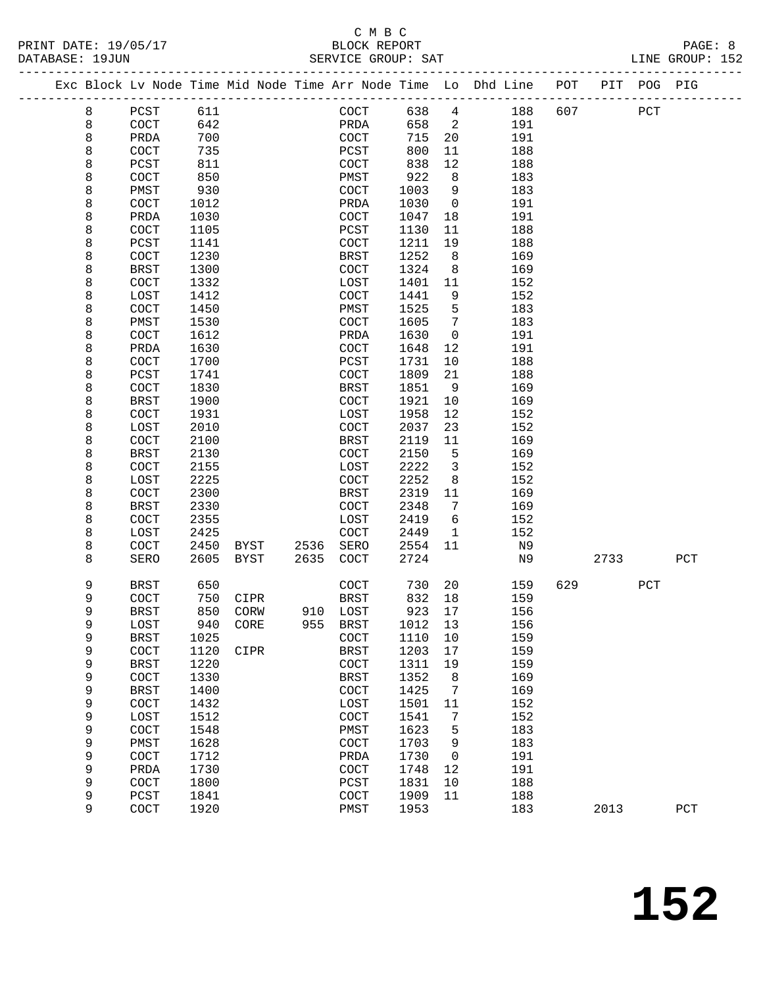#### C M B C<br>BLOCK REPORT PRINT DATE: 19/05/17 BLOCK REPORT PAGE: 8 SERVICE GROUP: SAT

| Exc Block Lv Node Time Mid Node Time Arr Node Time Lo Dhd Line POT PIT POG PIG |                       |              |              |              |                      |              |                |            |     |      |     |              |
|--------------------------------------------------------------------------------|-----------------------|--------------|--------------|--------------|----------------------|--------------|----------------|------------|-----|------|-----|--------------|
| 8                                                                              | PCST                  | 611          |              |              | COCT                 | 638          | $\overline{4}$ | 188        | 607 |      | PCT |              |
| 8                                                                              | $\operatorname{COT}$  | 642          |              |              | PRDA                 | 658          | 2              | 191        |     |      |     |              |
| 8                                                                              | PRDA                  | 700          |              |              | COCT                 | 715          | 20             | 191        |     |      |     |              |
| 8                                                                              | COCT                  | 735          |              |              | PCST                 | 800          | 11             | 188        |     |      |     |              |
| 8                                                                              | PCST                  | 811          |              |              | COCT                 | 838          | 12             | 188        |     |      |     |              |
| 8                                                                              | COCT                  | 850          |              |              | PMST                 | 922          | 8              | 183        |     |      |     |              |
| 8                                                                              | PMST                  | 930          |              |              | COCT                 | 1003         | 9              | 183        |     |      |     |              |
| 8                                                                              | $\operatorname{COCT}$ | 1012         |              |              | PRDA                 | 1030         | $\mathsf{O}$   | 191        |     |      |     |              |
| 8                                                                              | PRDA                  | 1030         |              |              | <b>COCT</b>          | 1047         | 18             | 191        |     |      |     |              |
| 8                                                                              | COCT                  | 1105         |              |              | PCST                 | 1130         | 11             | 188        |     |      |     |              |
| 8                                                                              | PCST                  | 1141         |              |              | COCT                 | 1211         | 19             | 188        |     |      |     |              |
| 8                                                                              | COCT                  | 1230         |              |              | BRST                 | 1252         | 8              | 169        |     |      |     |              |
| 8                                                                              | BRST                  | 1300         |              |              | COCT                 | 1324         | 8              | 169        |     |      |     |              |
| 8                                                                              | COCT                  | 1332         |              |              | LOST                 | 1401         | 11             | 152        |     |      |     |              |
| 8                                                                              | LOST                  | 1412         |              |              | COCT                 | 1441         | 9              | 152        |     |      |     |              |
| 8                                                                              | COCT                  | 1450         |              |              | PMST                 | 1525         | 5              | 183        |     |      |     |              |
| 8                                                                              | PMST                  | 1530         |              |              | COCT                 | 1605         | 7              | 183        |     |      |     |              |
| 8                                                                              | COCT                  | 1612         |              |              | PRDA                 | 1630         | $\mathbf 0$    | 191        |     |      |     |              |
| 8                                                                              | PRDA                  | 1630         |              |              | COCT                 | 1648         | 12             | 191        |     |      |     |              |
| 8                                                                              | COCT                  | 1700         |              |              | PCST                 | 1731         | 10             | 188        |     |      |     |              |
| 8                                                                              | PCST                  | 1741         |              |              | COCT                 | 1809         | 21             | 188        |     |      |     |              |
| 8                                                                              | COCT                  | 1830         |              |              | BRST                 | 1851         | 9              | 169        |     |      |     |              |
| 8                                                                              | <b>BRST</b>           | 1900         |              |              | $\operatorname{COT}$ | 1921         | 10             | 169        |     |      |     |              |
| 8                                                                              | COCT                  | 1931         |              |              | LOST                 | 1958         | 12             | 152        |     |      |     |              |
| 8                                                                              | LOST                  | 2010         |              |              | COCT                 | 2037         | 23             | 152        |     |      |     |              |
| 8                                                                              | COCT                  | 2100         |              |              | BRST                 | 2119         | 11             | 169        |     |      |     |              |
| 8                                                                              | <b>BRST</b>           | 2130         |              |              | COCT                 | 2150         | 5              | 169        |     |      |     |              |
| 8                                                                              | COCT                  | 2155         |              |              | LOST                 | 2222         | $\overline{3}$ | 152        |     |      |     |              |
| 8                                                                              | LOST                  | 2225         |              |              | COCT                 | 2252         | 8              | 152        |     |      |     |              |
| 8                                                                              | <b>COCT</b>           | 2300         |              |              | <b>BRST</b>          | 2319         | 11             | 169        |     |      |     |              |
| 8                                                                              | <b>BRST</b>           | 2330         |              |              | COCT                 | 2348         | 7              | 169        |     |      |     |              |
| 8                                                                              | COCT                  | 2355         |              |              | LOST                 | 2419         | 6              | 152        |     |      |     |              |
| 8                                                                              | LOST                  | 2425         |              |              | COCT                 | 2449         | $\mathbf{1}$   | 152        |     |      |     |              |
| 8<br>8                                                                         | <b>COCT</b>           | 2450<br>2605 | BYST<br>BYST | 2536<br>2635 | SERO                 | 2554         | 11             | N9<br>N9   |     | 2733 |     |              |
|                                                                                | SERO                  |              |              |              | COCT                 | 2724         |                |            |     |      |     | PCT          |
| 9                                                                              | BRST                  | 650          |              |              | COCT                 | 730          | 20             | 159        | 629 |      | PCT |              |
| 9                                                                              | <b>COCT</b>           | 750          | CIPR         |              | BRST                 | 832          | 18             | 159        |     |      |     |              |
| 9                                                                              | <b>BRST</b>           | 850          | CORW         |              | 910 LOST             | 923          | 17             | 156        |     |      |     |              |
| 9                                                                              | LOST                  |              | 940 CORE     |              | 955 BRST             | 1012 13      |                | 156        |     |      |     |              |
| 9                                                                              | <b>BRST</b>           | 1025         |              |              | COCT                 | 1110         | 10             | 159        |     |      |     |              |
| 9                                                                              | COCT                  | 1120         | CIPR         |              | <b>BRST</b>          | 1203         | 17             | 159        |     |      |     |              |
| 9                                                                              | <b>BRST</b>           | 1220         |              |              | COCT                 | 1311         | 19             | 159        |     |      |     |              |
| 9                                                                              | COCT                  | 1330         |              |              | <b>BRST</b>          | 1352         | 8              | 169        |     |      |     |              |
| 9                                                                              | <b>BRST</b>           | 1400         |              |              | COCT                 | 1425         | 7              | 169        |     |      |     |              |
| 9                                                                              | COCT                  | 1432         |              |              | LOST                 | 1501         | 11             | 152        |     |      |     |              |
| 9                                                                              | LOST                  | 1512         |              |              | COCT                 | 1541         | 7              | 152        |     |      |     |              |
| 9                                                                              | COCT                  | 1548         |              |              | PMST                 | 1623         | 5              | 183        |     |      |     |              |
| 9                                                                              | PMST                  | 1628         |              |              | COCT                 | 1703         | 9              | 183        |     |      |     |              |
| 9<br>9                                                                         | COCT                  | 1712<br>1730 |              |              | PRDA                 | 1730         | 0              | 191<br>191 |     |      |     |              |
| 9                                                                              | PRDA<br>COCT          | 1800         |              |              | COCT                 | 1748         | 12             | 188        |     |      |     |              |
| 9                                                                              | PCST                  | 1841         |              |              | PCST<br>COCT         | 1831<br>1909 | 10<br>11       | 188        |     |      |     |              |
| 9                                                                              | COCT                  | 1920         |              |              | PMST                 | 1953         |                | 183        |     | 2013 |     | $_{\rm PCT}$ |
|                                                                                |                       |              |              |              |                      |              |                |            |     |      |     |              |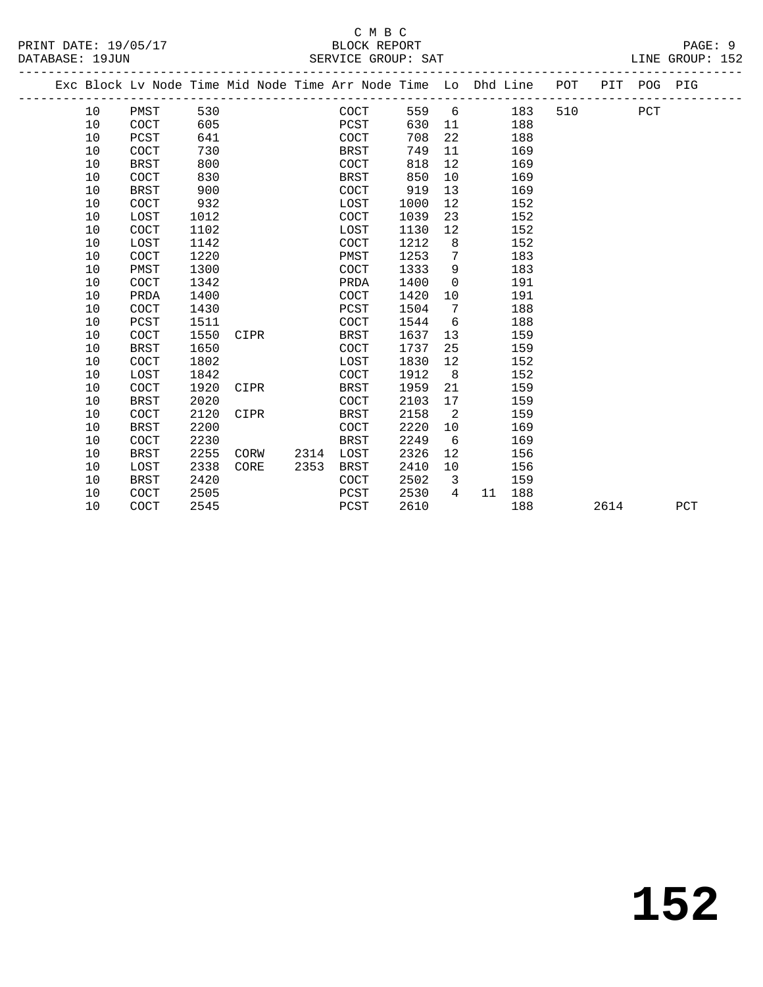|    | Exc Block Lv Node Time Mid Node Time Arr Node Time Lo Dhd Line POT PIT POG PIG |      |      |      |                |      |                 |           |     |      |     |     |
|----|--------------------------------------------------------------------------------|------|------|------|----------------|------|-----------------|-----------|-----|------|-----|-----|
| 10 | PMST                                                                           | 530  |      |      | COCT           |      |                 | 559 6 183 | 510 |      | PCT |     |
| 10 | COCT                                                                           | 605  |      |      | PCST           | 630  | 11              | 188       |     |      |     |     |
| 10 | PCST                                                                           | 641  |      |      | COCT           | 708  | 22              | 188       |     |      |     |     |
| 10 | COCT                                                                           | 730  |      |      | BRST           | 749  | 11              | 169       |     |      |     |     |
| 10 | <b>BRST</b>                                                                    | 800  |      |      | COCT           | 818  | 12              | 169       |     |      |     |     |
| 10 | COCT                                                                           | 830  |      |      | BRST           | 850  | 10 <sup>°</sup> | 169       |     |      |     |     |
| 10 | <b>BRST</b>                                                                    | 900  |      |      | COCT           | 919  | 13              | 169       |     |      |     |     |
| 10 | COCT                                                                           | 932  |      |      | LOST           | 1000 | 12              | 152       |     |      |     |     |
| 10 | LOST                                                                           | 1012 |      |      | COCT           | 1039 | 23              | 152       |     |      |     |     |
| 10 | COCT                                                                           | 1102 |      |      | LOST           | 1130 | 12              | 152       |     |      |     |     |
| 10 | LOST                                                                           | 1142 |      |      | COCT           | 1212 | 8               | 152       |     |      |     |     |
| 10 | COCT                                                                           | 1220 |      |      | PMST           | 1253 | $7\overline{ }$ | 183       |     |      |     |     |
| 10 | PMST                                                                           | 1300 |      |      | COCT           | 1333 | 9               | 183       |     |      |     |     |
| 10 | COCT                                                                           | 1342 |      |      | PRDA           | 1400 | $\overline{0}$  | 191       |     |      |     |     |
| 10 | PRDA                                                                           | 1400 |      |      | COCT           | 1420 | 10              | 191       |     |      |     |     |
| 10 | COCT                                                                           | 1430 |      |      | PCST           | 1504 | $\overline{7}$  | 188       |     |      |     |     |
| 10 | PCST                                                                           | 1511 |      |      | COCT           | 1544 | 6               | 188       |     |      |     |     |
| 10 | COCT                                                                           | 1550 | CIPR |      | BRST           | 1637 | 13              | 159       |     |      |     |     |
| 10 | <b>BRST</b>                                                                    | 1650 |      |      | COCT           | 1737 | 25              | 159       |     |      |     |     |
| 10 | COCT                                                                           | 1802 |      |      | LOST           | 1830 | 12 <sup>°</sup> | 152       |     |      |     |     |
| 10 | LOST                                                                           | 1842 |      |      | COCT           | 1912 | 8 <sup>8</sup>  | 152       |     |      |     |     |
| 10 | COCT                                                                           | 1920 | CIPR |      | BRST           | 1959 | 21              | 159       |     |      |     |     |
| 10 | <b>BRST</b>                                                                    | 2020 |      |      | COCT           | 2103 | 17              | 159       |     |      |     |     |
| 10 | COCT                                                                           | 2120 | CIPR |      | BRST           | 2158 | 2               | 159       |     |      |     |     |
| 10 | <b>BRST</b>                                                                    | 2200 |      |      | COCT           | 2220 | 10 <sub>1</sub> | 169       |     |      |     |     |
| 10 | <b>COCT</b>                                                                    | 2230 |      |      | BRST           | 2249 | 6               | 169       |     |      |     |     |
| 10 | <b>BRST</b>                                                                    | 2255 |      |      | CORW 2314 LOST | 2326 | 12              | 156       |     |      |     |     |
| 10 | LOST                                                                           | 2338 | CORE | 2353 | BRST           | 2410 | 10              | 156       |     |      |     |     |
| 10 | <b>BRST</b>                                                                    | 2420 |      |      | COCT           | 2502 | $\overline{3}$  | 159       |     |      |     |     |
| 10 | COCT                                                                           | 2505 |      |      | PCST           | 2530 | $4 \quad$       | 11 188    |     |      |     |     |
| 10 | <b>COCT</b>                                                                    | 2545 |      |      | PCST           | 2610 |                 | 188       |     | 2614 |     | PCT |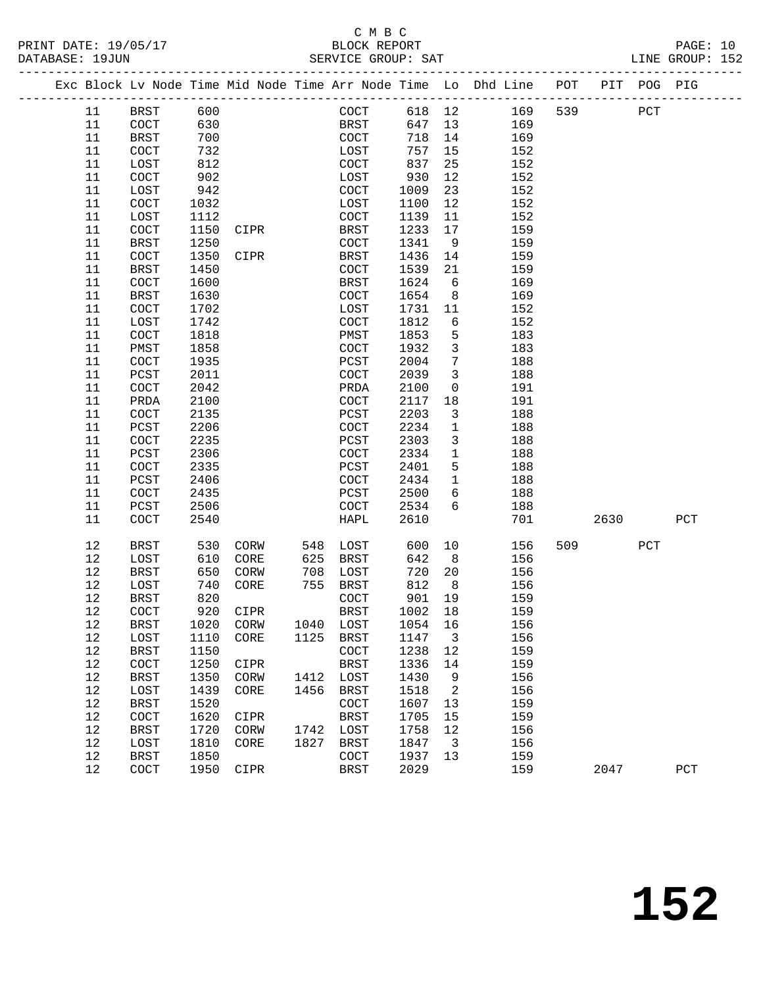#### C M B C<br>BLOCK REPORT PRINT DATE: 19/05/17 BLOCK REPORT PAGE: 10 SERVICE GROUP: SAT

|  |          | Exc Block Lv Node Time Mid Node Time Arr Node Time Lo Dhd Line POT |              |      |      |                      |             |                   |                          |            |     |      | PIT POG PIG |              |
|--|----------|--------------------------------------------------------------------|--------------|------|------|----------------------|-------------|-------------------|--------------------------|------------|-----|------|-------------|--------------|
|  | 11       | <b>BRST</b>                                                        | 600          |      |      |                      | COCT        | 618 12            |                          | 169        | 539 | PCT  |             |              |
|  | 11       | COCT                                                               | 630          |      |      |                      | <b>BRST</b> | 647 13            |                          | 169        |     |      |             |              |
|  | 11       | BRST                                                               | 700          |      |      | COCT                 |             | 718               | 14                       | 169        |     |      |             |              |
|  | 11       | COCT                                                               | 732          |      |      | LOST                 |             | 757               | 15                       | 152        |     |      |             |              |
|  | 11       | LOST                                                               | 812          |      |      | COCT                 |             | 837               | 25                       | 152        |     |      |             |              |
|  | 11       | COCT                                                               | 902          |      |      | LOST                 |             | 930               | 12                       | 152        |     |      |             |              |
|  | 11       | LOST                                                               | 942          |      |      | COCT                 |             | 1009              | 23                       | 152        |     |      |             |              |
|  | 11       | $\operatorname{COCT}$                                              | 1032         |      |      | LOST                 |             | 1100              | 12                       | 152        |     |      |             |              |
|  | 11       | LOST                                                               | 1112         |      |      | $\operatorname{COT}$ |             | 1139              | 11                       | 152        |     |      |             |              |
|  | 11       | COCT                                                               | 1150         | CIPR |      | BRST                 |             | 1233              | 17                       | 159        |     |      |             |              |
|  | 11<br>11 | BRST<br>COCT                                                       | 1250<br>1350 | CIPR |      | COCT<br>BRST         |             | 1341<br>1436      | 9<br>14                  | 159<br>159 |     |      |             |              |
|  | 11       | BRST                                                               | 1450         |      |      | COCT                 |             | 1539              | 21                       | 159        |     |      |             |              |
|  | 11       | $\operatorname{COCT}$                                              | 1600         |      |      | BRST                 |             | 1624              | $6\overline{6}$          | 169        |     |      |             |              |
|  | 11       | <b>BRST</b>                                                        | 1630         |      |      | COCT                 |             | 1654              | 8 <sup>8</sup>           | 169        |     |      |             |              |
|  | 11       | COCT                                                               | 1702         |      |      | LOST                 |             | 1731              | 11                       | 152        |     |      |             |              |
|  | 11       | LOST                                                               | 1742         |      |      | COCT                 |             | 1812              | 6                        | 152        |     |      |             |              |
|  | 11       | COCT                                                               | 1818         |      |      | PMST                 |             | 1853              | 5                        | 183        |     |      |             |              |
|  | 11       | PMST                                                               | 1858         |      |      | COCT                 |             | 1932              | $\overline{3}$           | 183        |     |      |             |              |
|  | 11       | COCT                                                               | 1935         |      |      | PCST                 |             | 2004              | $7\phantom{.0}$          | 188        |     |      |             |              |
|  | 11       | PCST                                                               | 2011         |      |      | $\operatorname{COT}$ |             | 2039              | $\overline{3}$           | 188        |     |      |             |              |
|  | 11       | COCT                                                               | 2042         |      |      | PRDA                 |             | 2100              | $\mathsf{O}$             | 191        |     |      |             |              |
|  | 11       | PRDA                                                               | 2100         |      |      | COCT                 |             | 2117              | 18                       | 191        |     |      |             |              |
|  | 11       | COCT                                                               | 2135         |      |      | PCST                 |             | 2203              | $\overline{3}$           | 188        |     |      |             |              |
|  | 11       | PCST                                                               | 2206         |      |      | COCT                 |             | 2234              | $\mathbf{1}$             | 188        |     |      |             |              |
|  | 11       | COCT                                                               | 2235         |      |      | PCST                 |             | 2303              | $\mathbf{3}$             | 188        |     |      |             |              |
|  | 11       | PCST                                                               | 2306         |      |      | COCT                 |             | 2334              | $\mathbf{1}$             | 188        |     |      |             |              |
|  | 11<br>11 | COCT<br>PCST                                                       | 2335<br>2406 |      |      | PCST<br>COCT         |             | 2401<br>2434      | 5<br>$\mathbf{1}$        | 188<br>188 |     |      |             |              |
|  | 11       | COCT                                                               | 2435         |      |      | PCST                 |             | 2500              | 6                        | 188        |     |      |             |              |
|  | 11       | PCST                                                               | 2506         |      |      | COCT                 |             | 2534              | 6                        | 188        |     |      |             |              |
|  | 11       | COCT                                                               | 2540         |      |      | HAPL                 |             | 2610              |                          | 701        |     | 2630 |             | PCT          |
|  |          |                                                                    |              |      |      |                      |             |                   |                          |            |     |      |             |              |
|  | 12       | BRST                                                               | 530          | CORW | 548  | LOST                 |             | 600               | 10                       | 156        | 509 |      | PCT         |              |
|  | 12       | LOST                                                               | 610          | CORE | 625  | BRST                 |             | 642               | 8 <sup>8</sup>           | 156        |     |      |             |              |
|  | 12       | BRST                                                               | 650          | CORW | 708  | LOST                 |             | 720               | 20                       | 156        |     |      |             |              |
|  | 12<br>12 | LOST<br>BRST                                                       | 740<br>820   | CORE |      | 755 BRST<br>COCT     |             | 812<br>901        | 8 <sup>8</sup><br>19     | 156<br>159 |     |      |             |              |
|  | 12       | COCT                                                               | 920          | CIPR |      | BRST                 |             | 1002 18           |                          | 159        |     |      |             |              |
|  | 12       | BRST                                                               | 1020 CORW    |      |      |                      |             | 1040 LOST 1054 16 |                          | 156        |     |      |             |              |
|  | 12       | LOST                                                               | 1110         | CORE | 1125 | BRST                 |             | 1147              | $\overline{\phantom{a}}$ | 156        |     |      |             |              |
|  | 12       | <b>BRST</b>                                                        | 1150         |      |      | COCT                 |             | 1238              | 12                       | 159        |     |      |             |              |
|  | 12       | COCT                                                               | 1250         | CIPR |      | BRST                 |             | 1336              | 14                       | 159        |     |      |             |              |
|  | 12       | <b>BRST</b>                                                        | 1350         | CORW | 1412 | LOST                 |             | 1430              | 9                        | 156        |     |      |             |              |
|  | 12       | LOST                                                               | 1439         | CORE | 1456 | BRST                 |             | 1518              | 2                        | 156        |     |      |             |              |
|  | 12       | <b>BRST</b>                                                        | 1520         |      |      | COCT                 |             | 1607              | 13                       | 159        |     |      |             |              |
|  | 12       | COCT                                                               | 1620         | CIPR |      | BRST                 |             | 1705              | 15                       | 159        |     |      |             |              |
|  | 12       | <b>BRST</b>                                                        | 1720         | CORW | 1742 | LOST                 |             | 1758              | 12                       | 156        |     |      |             |              |
|  | 12       | LOST                                                               | 1810         | CORE | 1827 | <b>BRST</b>          |             | 1847              | $\overline{\mathbf{3}}$  | 156        |     |      |             |              |
|  | 12<br>12 | <b>BRST</b><br>COCT                                                | 1850<br>1950 |      |      | COCT<br><b>BRST</b>  |             | 1937<br>2029      | 13                       | 159<br>159 |     |      |             | $_{\rm PCT}$ |
|  |          |                                                                    |              | CIPR |      |                      |             |                   |                          |            |     | 2047 |             |              |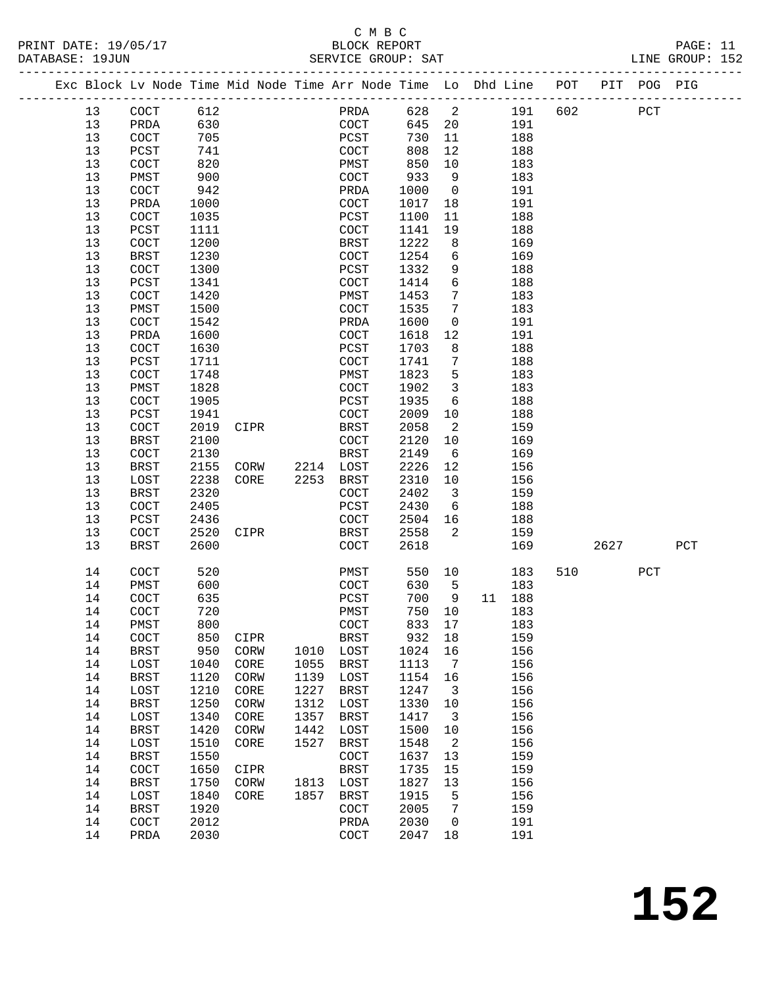|  |          | Exc Block Lv Node Time Mid Node Time Arr Node Time Lo Dhd Line POT |              |              |              |                      | ___________________________ |                 |            |     |      | PIT POG PIG  |     |
|--|----------|--------------------------------------------------------------------|--------------|--------------|--------------|----------------------|-----------------------------|-----------------|------------|-----|------|--------------|-----|
|  | 13       | $\operatorname{COT}$                                               | 612          |              |              | PRDA                 | 628                         | $\overline{a}$  | 191        | 602 |      | $_{\rm PCT}$ |     |
|  | 13       | PRDA                                                               | 630          |              |              | $\operatorname{COT}$ | 645                         | 20              | 191        |     |      |              |     |
|  | 13       | COCT                                                               | 705          |              |              | PCST                 | 730                         | 11              | 188        |     |      |              |     |
|  | 13       | PCST                                                               | 741          |              |              | COCT                 | 808                         | 12              | 188        |     |      |              |     |
|  | 13       | COCT                                                               | 820          |              |              | PMST                 | 850                         | 10              | 183        |     |      |              |     |
|  | 13       | PMST                                                               | 900          |              |              | COCT                 | 933                         | 9               | 183        |     |      |              |     |
|  | 13       | COCT                                                               | 942          |              |              | PRDA                 | 1000                        | $\overline{0}$  | 191        |     |      |              |     |
|  | 13       | PRDA                                                               | 1000         |              |              | COCT                 | 1017                        | 18              | 191        |     |      |              |     |
|  | 13       | COCT                                                               | 1035         |              |              | PCST                 | 1100                        | 11              | 188        |     |      |              |     |
|  | 13       | PCST                                                               | 1111         |              |              | COCT                 | 1141                        | 19              | 188        |     |      |              |     |
|  | 13       | COCT                                                               | 1200         |              |              | BRST                 | 1222                        | 8               | 169        |     |      |              |     |
|  | 13       | <b>BRST</b>                                                        | 1230         |              |              | COCT                 | 1254                        | 6               | 169        |     |      |              |     |
|  | 13       | COCT                                                               | 1300         |              |              | PCST                 | 1332                        | 9               | 188        |     |      |              |     |
|  | 13       | PCST                                                               | 1341         |              |              | COCT                 | 1414                        | 6               | 188        |     |      |              |     |
|  | 13       | COCT                                                               | 1420         |              |              | PMST                 | 1453                        | 7               | 183        |     |      |              |     |
|  | 13       | PMST                                                               | 1500         |              |              | COCT                 | 1535                        | 7               | 183        |     |      |              |     |
|  | 13       | COCT                                                               | 1542         |              |              | PRDA                 | 1600                        | 0               | 191        |     |      |              |     |
|  | 13       | PRDA                                                               | 1600         |              |              | COCT                 | 1618                        | 12              | 191        |     |      |              |     |
|  | 13       | COCT                                                               | 1630         |              |              | PCST                 | 1703                        | 8               | 188        |     |      |              |     |
|  | 13       | PCST                                                               | 1711         |              |              | COCT                 | 1741                        | $7\phantom{.0}$ | 188        |     |      |              |     |
|  | 13       | COCT                                                               | 1748         |              |              | PMST                 | 1823                        | 5               | 183        |     |      |              |     |
|  | 13       | PMST                                                               | 1828         |              |              | COCT                 | 1902                        | $\mathbf{3}$    | 183        |     |      |              |     |
|  | 13       | COCT                                                               | 1905         |              |              | PCST                 | 1935                        | 6               | 188        |     |      |              |     |
|  | 13       | PCST                                                               | 1941         |              |              | COCT                 | 2009                        | 10              | 188        |     |      |              |     |
|  | 13<br>13 | COCT<br><b>BRST</b>                                                | 2019<br>2100 | CIPR         |              | BRST<br>COCT         | 2058<br>2120                | 2<br>10         | 159<br>169 |     |      |              |     |
|  | 13       | COCT                                                               | 2130         |              |              | <b>BRST</b>          | 2149                        | 6               | 169        |     |      |              |     |
|  | 13       | <b>BRST</b>                                                        | 2155         | CORW         | 2214         | LOST                 | 2226                        | 12              | 156        |     |      |              |     |
|  | 13       | LOST                                                               | 2238         | CORE         | 2253         | BRST                 | 2310                        | 10              | 156        |     |      |              |     |
|  | 13       | <b>BRST</b>                                                        | 2320         |              |              | COCT                 | 2402                        | 3               | 159        |     |      |              |     |
|  | 13       | COCT                                                               | 2405         |              |              | PCST                 | 2430                        | 6               | 188        |     |      |              |     |
|  | 13       | PCST                                                               | 2436         |              |              | COCT                 | 2504                        | 16              | 188        |     |      |              |     |
|  | 13       | COCT                                                               | 2520         | CIPR         |              | BRST                 | 2558                        | 2               | 159        |     |      |              |     |
|  | 13       | <b>BRST</b>                                                        | 2600         |              |              | COCT                 | 2618                        |                 | 169        |     | 2627 |              | PCT |
|  | 14       | COCT                                                               | 520          |              |              | PMST                 | 550                         | 10              | 183        | 510 |      | PCT          |     |
|  | 14       | PMST                                                               | 600          |              |              | COCT                 | 630                         | 5               | 183        |     |      |              |     |
|  | 14       | <b>COCT</b>                                                        | 635          |              |              | PCST                 | 700                         | 9               | 11 188     |     |      |              |     |
|  | 14       | COCT                                                               | 720          |              |              | PMST                 | 750                         | 10              | 183        |     |      |              |     |
|  | $14$     | PMST                                                               | 800          |              |              | COCT                 | 833 17                      |                 | 183        |     |      |              |     |
|  | 14       | COCT                                                               | 850          | CIPR         |              | <b>BRST</b>          | 932                         | 18              | 159        |     |      |              |     |
|  | 14       | <b>BRST</b>                                                        | 950          | CORW         | 1010         | LOST                 | 1024                        | 16              | 156        |     |      |              |     |
|  | 14<br>14 | LOST<br><b>BRST</b>                                                | 1040<br>1120 | CORE<br>CORW | 1055<br>1139 | BRST<br>LOST         | 1113<br>1154                | 7<br>16         | 156<br>156 |     |      |              |     |
|  | 14       | LOST                                                               | 1210         | CORE         | 1227         | <b>BRST</b>          | 1247                        | 3               | 156        |     |      |              |     |
|  | 14       | <b>BRST</b>                                                        | 1250         | CORW         | 1312         | LOST                 | 1330                        | 10              | 156        |     |      |              |     |
|  | 14       | LOST                                                               | 1340         | CORE         | 1357         | <b>BRST</b>          | 1417                        | 3               | 156        |     |      |              |     |
|  | 14       | <b>BRST</b>                                                        | 1420         | CORW         | 1442         | LOST                 | 1500                        | 10              | 156        |     |      |              |     |
|  | 14       | LOST                                                               | 1510         | CORE         | 1527         | <b>BRST</b>          | 1548                        | 2               | 156        |     |      |              |     |
|  | 14       | <b>BRST</b>                                                        | 1550         |              |              | COCT                 | 1637                        | 13              | 159        |     |      |              |     |
|  | 14       | COCT                                                               | 1650         | CIPR         |              | <b>BRST</b>          | 1735                        | 15              | 159        |     |      |              |     |
|  | 14       | <b>BRST</b>                                                        | 1750         | CORW         | 1813         | LOST                 | 1827                        | 13              | 156        |     |      |              |     |
|  | 14       | LOST                                                               | 1840         | CORE         | 1857         | <b>BRST</b>          | 1915                        | 5               | 156        |     |      |              |     |
|  | 14       | <b>BRST</b>                                                        | 1920         |              |              | COCT                 | 2005                        | 7               | 159        |     |      |              |     |
|  | 14       | COCT                                                               | 2012         |              |              | PRDA                 | 2030                        | 0               | 191        |     |      |              |     |
|  | 14       | PRDA                                                               | 2030         |              |              | COCT                 | 2047                        | 18              | 191        |     |      |              |     |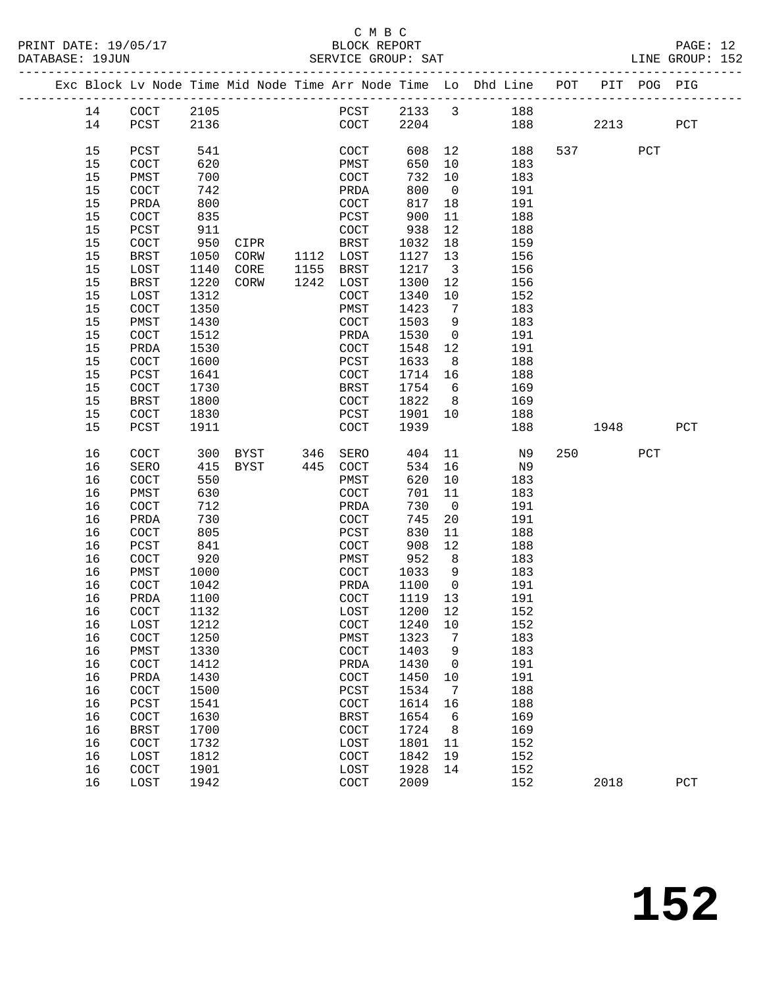# C M B C

| PRINT DATE: 19/05/17<br>DATABASE: 19JUN                                                                                                            |                                                                                                                                                                                                                                            |                                                                                                                                                                                             |                                                              |                                                                                                                                                                                                                              |                                                                                                                                                                                        |                                                                                                                | 5/17 BLOCK REPORT<br>SERVICE GROUP: SAT                                                                                                                                                                                      |                 | PAGE: 12<br>LINE GROUP: 152 |  |
|----------------------------------------------------------------------------------------------------------------------------------------------------|--------------------------------------------------------------------------------------------------------------------------------------------------------------------------------------------------------------------------------------------|---------------------------------------------------------------------------------------------------------------------------------------------------------------------------------------------|--------------------------------------------------------------|------------------------------------------------------------------------------------------------------------------------------------------------------------------------------------------------------------------------------|----------------------------------------------------------------------------------------------------------------------------------------------------------------------------------------|----------------------------------------------------------------------------------------------------------------|------------------------------------------------------------------------------------------------------------------------------------------------------------------------------------------------------------------------------|-----------------|-----------------------------|--|
|                                                                                                                                                    |                                                                                                                                                                                                                                            |                                                                                                                                                                                             |                                                              |                                                                                                                                                                                                                              |                                                                                                                                                                                        |                                                                                                                | Exc Block Lv Node Time Mid Node Time Arr Node Time Lo Dhd Line POT PIT POG PIG                                                                                                                                               |                 |                             |  |
| 14                                                                                                                                                 | PCST 2136                                                                                                                                                                                                                                  |                                                                                                                                                                                             |                                                              | $COCT$ 2204                                                                                                                                                                                                                  |                                                                                                                                                                                        |                                                                                                                | PCST 2133 3 188<br>188 2213 PCT                                                                                                                                                                                              |                 |                             |  |
| 15<br>15<br>15<br>15<br>15<br>15<br>15<br>15<br>15<br>15<br>15<br>15<br>15<br>15<br>15<br>15<br>15<br>15<br>15<br>15<br>15                         | PCST<br>COCT<br>PMST<br>COCT<br>PRDA<br>COCT<br>PCST<br>COCT<br>BRST<br>LOST<br>BRST<br>LOST<br>COCT<br>PMST<br>COCT<br>PRDA<br>COCT<br>PCST<br>COCT<br>BRST<br>COCT                                                                       | 541<br>620<br>700<br>742<br>800<br>835<br>911<br>950<br>1050<br>1140<br>1220<br>1312<br>1350<br>1430<br>1512<br>1530<br>1600<br>1641<br>1730<br>1800<br>1830                                | CIPR<br>$CORW$ 1112 LOST<br>CORE 1155 BRST<br>CORW 1242 LOST | COCT<br>PRDA<br>COCT<br>PCST<br>COCT<br>BRST<br>COCT<br>PMST<br>COCT<br>PRDA<br>COCT<br>PCST<br>COCT<br>BRST<br>COCT<br>PCST                                                                                                 | 732 10<br>800<br>817 18<br>900<br>938 12<br>1032 18<br>1127 13<br>1217 3<br>1300<br>1340 10<br>1423<br>1503<br>1530<br>1548 12<br>1633<br>$1714$ 16<br>1754 6<br>1822 8<br>1901 10     | 11<br>12<br>$7\overline{)}$<br>9<br>$\overline{0}$                                                             | COCT 608 12 188<br>PMST 650 10 183<br>183<br>$\overline{0}$<br>191<br>191<br>188<br>188<br>159<br>156<br>156<br>156<br>152<br>183<br>183<br>191<br>191<br>8 <sup>1</sup><br>188<br>188<br>169<br>169<br>188                  | 537 PCT         |                             |  |
| 15<br>16<br>16<br>16<br>16<br>16<br>16<br>16<br>16<br>16<br>16<br>16<br>16<br>16<br>16<br>16<br>16<br>16<br>16<br>16<br>16<br>16<br>16<br>16<br>16 | PCST<br>COCT<br>SERO<br>COCT<br>PMST<br>COCT<br>PRDA<br>COCT<br>PCST<br>COCT<br>PMST<br>COCT<br>16    PRDA    1100<br>COCT<br>LOST<br>COCT<br>PMST<br>$\operatorname{COCT}$<br>PRDA<br>COCT<br>PCST<br>COCT<br><b>BRST</b><br>COCT<br>LOST | 1911<br>300<br>415<br>550<br>630<br>712<br>730<br>805<br>841<br>920<br>1000<br>1042<br>1132<br>1212<br>1250<br>1330<br>1412<br>1430<br>1500<br>1541<br>1630<br>1700<br>1732<br>1812<br>1901 | BYST 445 COCT                                                | COCT<br>BYST 346 SERO<br>PMST<br>COCT<br>PRDA<br>COCT<br>PCST<br>COCT<br>PMST<br>COCT<br>PRDA<br>COCT 1119 13<br>LOST<br>COCT<br>PMST<br>COCT<br>PRDA<br>COCT<br>PCST<br>COCT<br><b>BRST</b><br>COCT<br>LOST<br>COCT<br>LOST | 1939<br>620<br>701 11<br>730<br>745<br>830<br>908<br>$952$ 8<br>1033 9<br>1100<br>1200<br>1240<br>1323<br>1403<br>1430<br>1450<br>1534<br>1614<br>1654<br>1724<br>1801<br>1842<br>1928 | $\overline{0}$<br>12<br>$\overline{0}$<br>12<br>10<br>7<br>9<br>0<br>10<br>7<br>16<br>6<br>8<br>11<br>19<br>14 | 188<br>404 11 N9<br>534 16 N9<br>10<br>183<br>183<br>191<br>20<br>191<br>11<br>188<br>188<br>$\frac{1}{183}$<br>183<br>191<br>191<br>152<br>152<br>183<br>183<br>191<br>191<br>188<br>188<br>169<br>169<br>152<br>152<br>152 | 1948<br>250 PCT | PCT                         |  |
| 16                                                                                                                                                 | COCT<br>LOST                                                                                                                                                                                                                               | 1942                                                                                                                                                                                        |                                                              | COCT                                                                                                                                                                                                                         | 2009                                                                                                                                                                                   |                                                                                                                | 152                                                                                                                                                                                                                          | 2018            | PCT                         |  |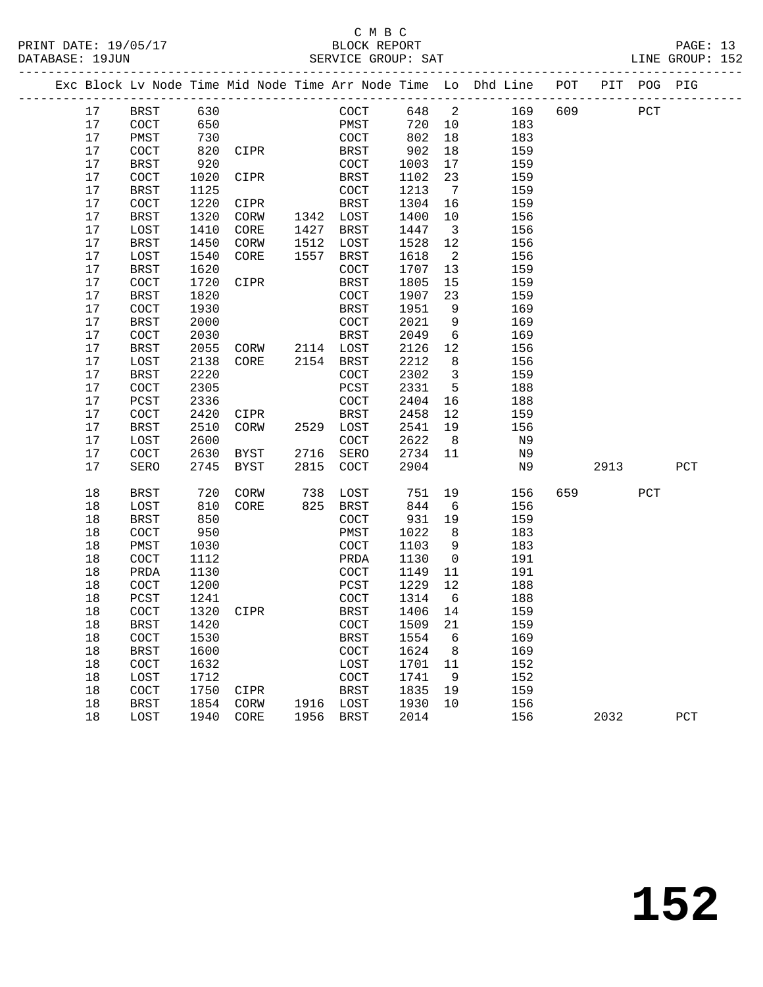### C M B C<br>BLOCK REPORT SERVICE GROUP: SAT

|    |             |      |      |      |             |      |                |       | POT                                                            | PIT | POG |     |
|----|-------------|------|------|------|-------------|------|----------------|-------|----------------------------------------------------------------|-----|-----|-----|
| 17 | BRST        | 630  |      |      | COCT        |      |                | 169   | 609                                                            |     | PCT |     |
| 17 | COCT        | 650  |      |      | PMST        | 720  | 10             | 183   |                                                                |     |     |     |
| 17 | PMST        | 730  |      |      | COCT        | 802  | 18             | 183   |                                                                |     |     |     |
| 17 | COCT        | 820  | CIPR |      | BRST        | 902  | 18             | 159   |                                                                |     |     |     |
| 17 | <b>BRST</b> | 920  |      |      | COCT        | 1003 | 17             | 159   |                                                                |     |     |     |
| 17 | COCT        | 1020 | CIPR |      | BRST        | 1102 | 23             | 159   |                                                                |     |     |     |
| 17 | <b>BRST</b> | 1125 |      |      | <b>COCT</b> | 1213 | 7              | 159   |                                                                |     |     |     |
| 17 | COCT        | 1220 | CIPR |      | BRST        | 1304 | 16             | 159   |                                                                |     |     |     |
| 17 | <b>BRST</b> | 1320 | CORW | 1342 | LOST        | 1400 | 10             | 156   |                                                                |     |     |     |
| 17 | LOST        | 1410 | CORE | 1427 | BRST        | 1447 | $\overline{3}$ | 156   |                                                                |     |     |     |
| 17 | BRST        | 1450 | CORW | 1512 | LOST        | 1528 | 12             | 156   |                                                                |     |     |     |
| 17 | LOST        | 1540 | CORE | 1557 | BRST        | 1618 | 2              | 156   |                                                                |     |     |     |
| 17 | <b>BRST</b> | 1620 |      |      | COCT        | 1707 | 13             | 159   |                                                                |     |     |     |
| 17 | COCT        | 1720 | CIPR |      | BRST        | 1805 | 15             | 159   |                                                                |     |     |     |
| 17 | <b>BRST</b> | 1820 |      |      | COCT        | 1907 | 23             | 159   |                                                                |     |     |     |
| 17 | COCT        | 1930 |      |      | BRST        | 1951 | 9              | 169   |                                                                |     |     |     |
| 17 | <b>BRST</b> | 2000 |      |      | COCT        | 2021 | 9              | 169   |                                                                |     |     |     |
|    |             |      |      |      |             |      |                | 648 2 | Exc Block Lv Node Time Mid Node Time Arr Node Time Lo Dhd Line |     |     | PIG |

| 17 | LOST        | 2138 | CORE        | 2154 | BRST        | 2212 | 8  | 156 |     |      |     |              |
|----|-------------|------|-------------|------|-------------|------|----|-----|-----|------|-----|--------------|
| 17 | <b>BRST</b> | 2220 |             |      | COCT        | 2302 | 3  | 159 |     |      |     |              |
| 17 | COCT        | 2305 |             |      | PCST        | 2331 | 5  | 188 |     |      |     |              |
| 17 | PCST        | 2336 |             |      | <b>COCT</b> | 2404 | 16 | 188 |     |      |     |              |
| 17 | <b>COCT</b> | 2420 | CIPR        |      | <b>BRST</b> | 2458 | 12 | 159 |     |      |     |              |
| 17 | <b>BRST</b> | 2510 | CORW        | 2529 | LOST        | 2541 | 19 | 156 |     |      |     |              |
| 17 | LOST        | 2600 |             |      | COCT        | 2622 | 8  | N9  |     |      |     |              |
| 17 | <b>COCT</b> | 2630 | <b>BYST</b> | 2716 | SERO        | 2734 | 11 | N9  |     |      |     |              |
| 17 | SERO        | 2745 | <b>BYST</b> | 2815 | COCT        | 2904 |    | N9  |     | 2913 |     | $_{\rm PCT}$ |
|    |             |      |             |      |             |      |    |     |     |      |     |              |
| 18 | <b>BRST</b> | 720  | <b>CORW</b> | 738  | LOST        | 751  | 19 | 156 | 659 |      | PCT |              |
| 18 | LOST        | 810  | CORE        | 825  | <b>BRST</b> | 844  | 6  | 156 |     |      |     |              |
| 18 | <b>BRST</b> | 850  |             |      | COCT        | 931  | 19 | 159 |     |      |     |              |
| 18 | COCT        | 950  |             |      | PMST        | 1022 | 8  | 183 |     |      |     |              |
| 18 | PMST        | 1030 |             |      | COCT        | 1103 | 9  | 183 |     |      |     |              |
| 18 | COCT        | 1112 |             |      | PRDA        | 1130 | 0  | 191 |     |      |     |              |
| 18 | PRDA        | 1130 |             |      | COCT        | 1149 | 11 | 191 |     |      |     |              |
| 18 | <b>COCT</b> | 1200 |             |      | PCST        | 1229 | 12 | 188 |     |      |     |              |
| 18 | PCST        | 1241 |             |      | COCT        | 1314 | 6  | 188 |     |      |     |              |
| 18 | COCT        | 1320 | CIPR        |      | <b>BRST</b> | 1406 | 14 | 159 |     |      |     |              |
| 18 | <b>BRST</b> | 1420 |             |      | COCT        | 1509 | 21 | 159 |     |      |     |              |
| 18 | COCT        | 1530 |             |      | <b>BRST</b> | 1554 | 6  | 169 |     |      |     |              |
| 18 | <b>BRST</b> | 1600 |             |      | COCT        | 1624 | 8  | 169 |     |      |     |              |
| 18 | COCT        | 1632 |             |      | LOST        | 1701 | 11 | 152 |     |      |     |              |
| 18 | LOST        | 1712 |             |      | COCT        | 1741 | 9  | 152 |     |      |     |              |
| 18 | COCT        | 1750 | CIPR        |      | <b>BRST</b> | 1835 | 19 | 159 |     |      |     |              |
| 18 | <b>BRST</b> | 1854 | CORW        | 1916 | LOST        | 1930 | 10 | 156 |     |      |     |              |
| 18 | LOST        | 1940 | CORE        | 1956 | <b>BRST</b> | 2014 |    | 156 |     | 2032 |     | PCT          |
|    |             |      |             |      |             |      |    |     |     |      |     |              |

 17 COCT 2030 BRST 2049 6 169 17 BRST 2055 CORW 2114 LOST 2126 12 156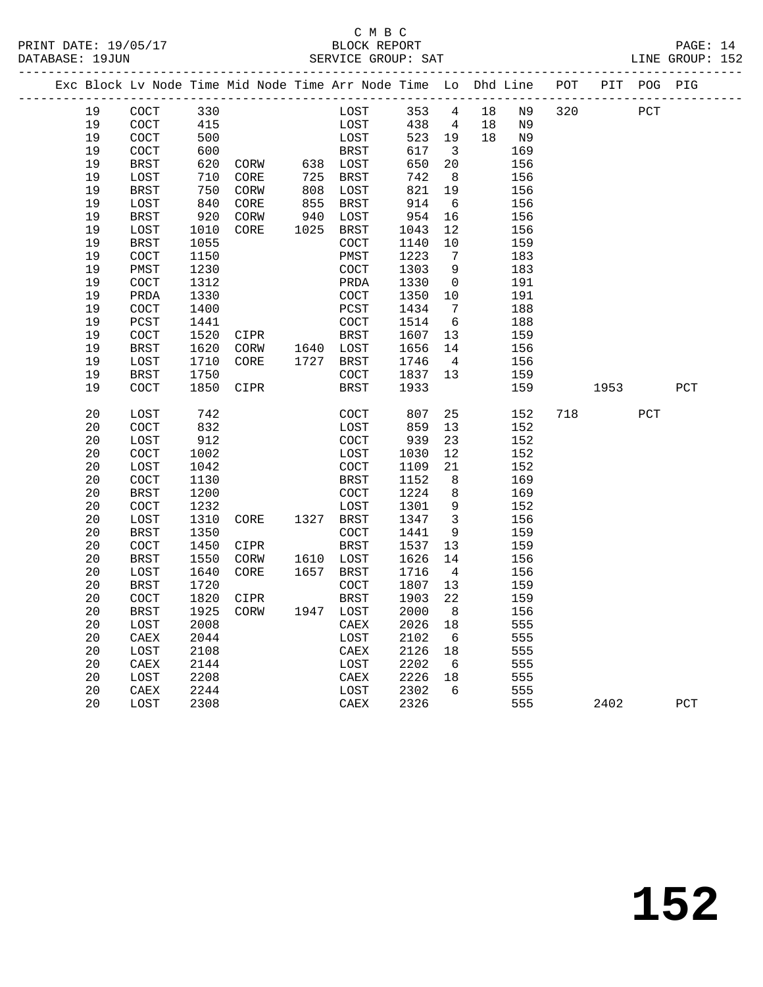|    |                      |      | PRINT DATE: 19/05/17                                 BLOCK REPORT DATABASE: 19JUN |      |              |         |                         |    |       |          |     | PAGE: 14<br>LINE GROUP: 152 |  |
|----|----------------------|------|-----------------------------------------------------------------------------------|------|--------------|---------|-------------------------|----|-------|----------|-----|-----------------------------|--|
|    |                      |      | Exc Block Lv Node Time Mid Node Time Arr Node Time Lo Dhd Line POT PIT POG PIG    |      |              |         |                         |    |       |          |     |                             |  |
| 19 | COCT                 | 330  |                                                                                   |      | LOST 353 4   |         |                         |    | 18 N9 | 320 PCT  |     |                             |  |
| 19 | COCT                 | 415  |                                                                                   |      | LOST         | 438 4   |                         |    | 18 N9 |          |     |                             |  |
| 19 | COCT                 | 500  |                                                                                   |      | LOST         | 523     | 19                      |    | 18 N9 |          |     |                             |  |
| 19 | COCT                 | 600  |                                                                                   |      | <b>BRST</b>  | 617     | $\overline{\mathbf{3}}$ |    | 169   |          |     |                             |  |
| 19 | <b>BRST</b>          |      |                                                                                   |      |              | 650     | 20                      |    | 156   |          |     |                             |  |
| 19 | LOST                 | 710  | CORE                                                                              |      | 725 BRST     | 742     | 8 <sup>8</sup>          |    | 156   |          |     |                             |  |
| 19 | BRST                 | 750  | CORW                                                                              | 808  | LOST         | 821     | 19                      |    | 156   |          |     |                             |  |
| 19 | LOST                 | 840  | CORE                                                                              | 855  | BRST         | 914     | 6                       |    | 156   |          |     |                             |  |
| 19 | BRST                 | 920  | CORW                                                                              | 940  | LOST         | 954     | 16                      |    | 156   |          |     |                             |  |
| 19 | LOST                 | 1010 | CORE                                                                              | 1025 | BRST         | 1043    | 12                      |    | 156   |          |     |                             |  |
| 19 | <b>BRST</b>          | 1055 |                                                                                   |      | COCT         | 1140    | 10                      |    | 159   |          |     |                             |  |
| 19 | COCT                 | 1150 |                                                                                   |      | PMST         | 1223    | $\overline{7}$          |    | 183   |          |     |                             |  |
| 19 | PMST                 | 1230 |                                                                                   |      | COCT         | 1303    | 9                       |    | 183   |          |     |                             |  |
| 19 | COCT                 | 1312 |                                                                                   |      | PRDA         | 1330    | $\overline{\mathbf{0}}$ |    | 191   |          |     |                             |  |
| 19 | PRDA                 | 1330 |                                                                                   |      | COCT         | 1350    | 10                      |    | 191   |          |     |                             |  |
| 19 | COCT                 | 1400 |                                                                                   |      | PCST         | 1434    | $\overline{7}$          |    | 188   |          |     |                             |  |
| 19 | PCST                 | 1441 | 1441<br>1520 CIPR                                                                 |      | COCT         | 1514    | 6                       |    | 188   |          |     |                             |  |
| 19 | COCT                 |      |                                                                                   |      | BRST         | 1607    | 13                      |    | 159   |          |     |                             |  |
| 19 | <b>BRST</b>          | 1620 | CORW 1640 LOST                                                                    |      |              | 1656    | 14                      |    | 156   |          |     |                             |  |
| 19 | LOST                 | 1710 | CORE                                                                              |      | 1727 BRST    | 1746    | $\overline{4}$          |    | 156   |          |     |                             |  |
| 19 | <b>BRST</b>          | 1750 |                                                                                   |      | COCT         | 1837 13 |                         |    | 159   |          |     |                             |  |
| 19 | COCT                 | 1850 | CIPR                                                                              |      | BRST         | 1933    |                         |    | 159   | 1953     |     | PCT                         |  |
| 20 | LOST                 | 742  |                                                                                   |      | COCT         | 807     |                         | 25 | 152   | 718 — 10 | PCT |                             |  |
| 20 | COCT                 | 832  |                                                                                   |      | LOST         | 859     | 13                      |    | 152   |          |     |                             |  |
| 20 | LOST                 | 912  |                                                                                   |      | COCT         | 939     | 23                      |    | 152   |          |     |                             |  |
| 20 | $\operatorname{COT}$ | 1002 |                                                                                   |      | LOST         | 1030    | 12                      |    | 152   |          |     |                             |  |
| 20 | LOST                 | 1042 |                                                                                   |      | COCT         | 1109    | 21                      |    | 152   |          |     |                             |  |
| 20 | COCT                 | 1130 |                                                                                   |      | BRST         | 1152    | 8                       |    | 169   |          |     |                             |  |
| 20 | <b>BRST</b>          | 1200 |                                                                                   |      | COCT         | 1224    | 8                       |    | 169   |          |     |                             |  |
| 20 | COCT                 | 1232 |                                                                                   |      | LOST         | 1301    | 9                       |    | 152   |          |     |                             |  |
| 20 | LOST                 | 1310 | CORE                                                                              |      | 1327 BRST    | 1347    | $\overline{\mathbf{3}}$ |    | 156   |          |     |                             |  |
| 20 | <b>BRST</b>          | 1350 |                                                                                   |      | COCT         | 1441    | 9                       |    | 159   |          |     |                             |  |
| 20 | COCT                 | 1450 | CIPR                                                                              |      | <b>BRST</b>  | 1537    | 13                      |    | 159   |          |     |                             |  |
| 20 | <b>BRST</b>          | 1550 | CORW                                                                              |      | 1610 LOST    | 1626    | 14                      |    | 156   |          |     |                             |  |
| 20 | LOST                 |      | 1640 CORE                                                                         |      | 1657 BRST    | 1716    | $\overline{4}$          |    | 156   |          |     |                             |  |
| 20 | <b>BRST</b>          | 1720 |                                                                                   |      | COCT         | 1807 13 |                         |    | 159   |          |     |                             |  |
| 20 | COCT                 |      | 1820 CIPR                                                                         |      | BRST 1903 22 |         |                         |    | 159   |          |     |                             |  |
| 20 | BRST                 | 1925 | CORW                                                                              | 1947 | LOST         | 2000    | 8                       |    | 156   |          |     |                             |  |
| 20 | LOST                 | 2008 |                                                                                   |      | CAEX         | 2026    | 18                      |    | 555   |          |     |                             |  |
| 20 | CAEX                 | 2044 |                                                                                   |      | LOST         | 2102    | 6                       |    | 555   |          |     |                             |  |
| 20 | LOST                 | 2108 |                                                                                   |      | CAEX         | 2126    | 18                      |    | 555   |          |     |                             |  |
| 20 | CAEX                 | 2144 |                                                                                   |      | LOST         | 2202    | 6                       |    | 555   |          |     |                             |  |
| 20 | LOST                 | 2208 |                                                                                   |      | CAEX         | 2226    | 18                      |    | 555   |          |     |                             |  |
| 20 | ${\tt CAEX}$         | 2244 |                                                                                   |      | LOST         | 2302    | 6                       |    | 555   |          |     |                             |  |
| 20 | LOST                 | 2308 |                                                                                   |      | CAEX         | 2326    |                         |    | 555   | 2402     |     | ${\tt PCT}$                 |  |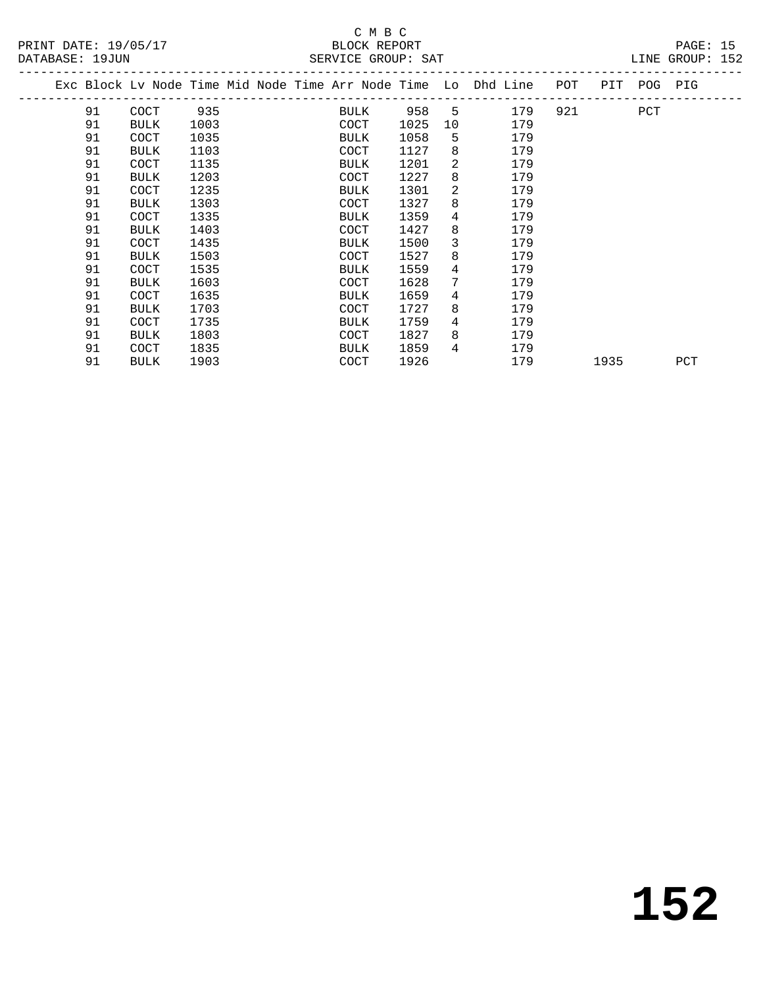|  |    |             |      |  |             |      |    | Exc Block Lv Node Time Mid Node Time Arr Node Time Lo Dhd Line<br>--------------------- | POT | PIT  | POG PIG |     |
|--|----|-------------|------|--|-------------|------|----|-----------------------------------------------------------------------------------------|-----|------|---------|-----|
|  | 91 | COCT        | 935  |  | BULK        | 958  | 5  | 179                                                                                     | 921 |      | PCT     |     |
|  | 91 | <b>BULK</b> | 1003 |  | COCT        | 1025 | 10 | 179                                                                                     |     |      |         |     |
|  | 91 | <b>COCT</b> | 1035 |  | <b>BULK</b> | 1058 | 5  | 179                                                                                     |     |      |         |     |
|  | 91 | BULK        | 1103 |  | COCT        | 1127 | 8  | 179                                                                                     |     |      |         |     |
|  | 91 | COCT        | 1135 |  | BULK        | 1201 | 2  | 179                                                                                     |     |      |         |     |
|  | 91 | BULK        | 1203 |  | COCT        | 1227 | 8  | 179                                                                                     |     |      |         |     |
|  | 91 | COCT        | 1235 |  | <b>BULK</b> | 1301 | 2  | 179                                                                                     |     |      |         |     |
|  | 91 | <b>BULK</b> | 1303 |  | COCT        | 1327 | 8  | 179                                                                                     |     |      |         |     |
|  | 91 | COCT        | 1335 |  | <b>BULK</b> | 1359 | 4  | 179                                                                                     |     |      |         |     |
|  | 91 | <b>BULK</b> | 1403 |  | COCT        | 1427 | 8  | 179                                                                                     |     |      |         |     |
|  | 91 | <b>COCT</b> | 1435 |  | BULK        | 1500 | 3  | 179                                                                                     |     |      |         |     |
|  | 91 | <b>BULK</b> | 1503 |  | COCT        | 1527 | 8  | 179                                                                                     |     |      |         |     |
|  | 91 | COCT        | 1535 |  | BULK        | 1559 | 4  | 179                                                                                     |     |      |         |     |
|  | 91 | <b>BULK</b> | 1603 |  | COCT        | 1628 | 7  | 179                                                                                     |     |      |         |     |
|  | 91 | COCT        | 1635 |  | <b>BULK</b> | 1659 | 4  | 179                                                                                     |     |      |         |     |
|  | 91 | <b>BULK</b> | 1703 |  | <b>COCT</b> | 1727 | 8  | 179                                                                                     |     |      |         |     |
|  | 91 | <b>COCT</b> | 1735 |  | <b>BULK</b> | 1759 | 4  | 179                                                                                     |     |      |         |     |
|  | 91 | <b>BULK</b> | 1803 |  | COCT        | 1827 | 8  | 179                                                                                     |     |      |         |     |
|  | 91 | COCT        | 1835 |  | BULK        | 1859 | 4  | 179                                                                                     |     |      |         |     |
|  | 91 | <b>BULK</b> | 1903 |  | COCT        | 1926 |    | 179                                                                                     |     | 1935 |         | PCT |
|  |    |             |      |  |             |      |    |                                                                                         |     |      |         |     |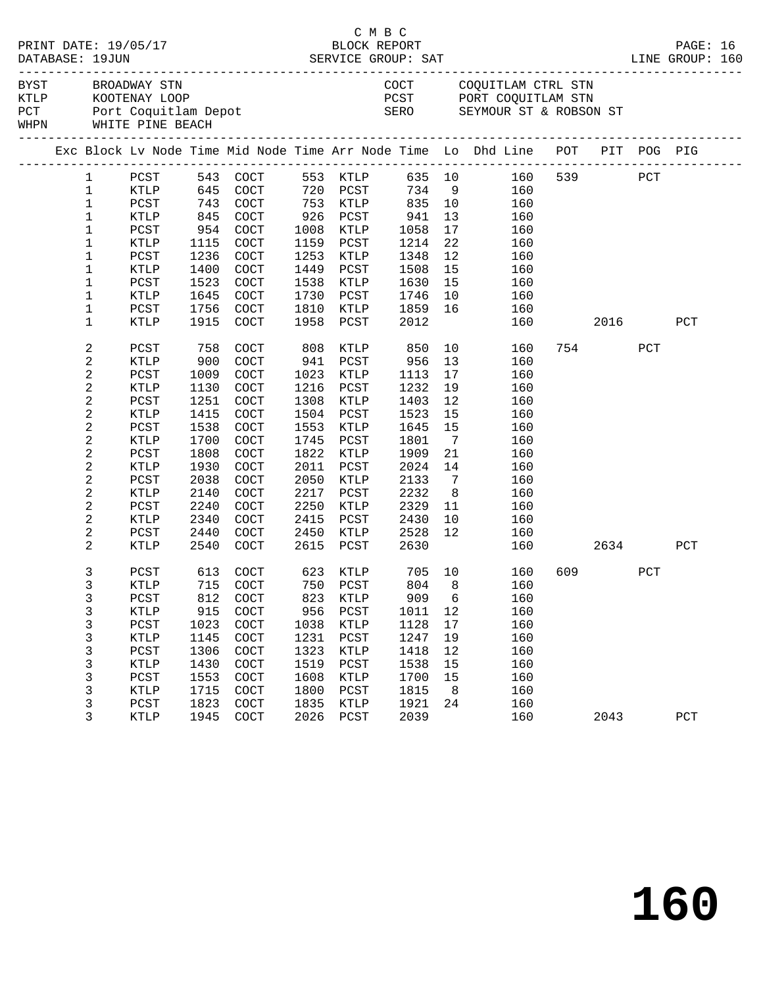|                |                                            |      |                      |      | C M B C         |        |                |                                                                                   |        |         |         |              |  |
|----------------|--------------------------------------------|------|----------------------|------|-----------------|--------|----------------|-----------------------------------------------------------------------------------|--------|---------|---------|--------------|--|
|                | BYST BROADWAY STN<br>WHPN WHITE PINE BEACH |      |                      |      |                 |        |                | COCT COQUITLAM CTRL STN<br>PCST PORT COQUITLAM STN<br>SERO SEYMOUR ST & ROBSON ST |        |         |         |              |  |
|                |                                            |      |                      |      |                 |        |                | Exc Block Lv Node Time Mid Node Time Arr Node Time Lo Dhd Line POT PIT POG PIG    |        |         |         |              |  |
| $\mathbf{1}$   |                                            |      |                      |      |                 |        |                | PCST 543 COCT 553 KTLP 635 10 160 539 PCT<br>KTLP 645 COCT 720 PCST 734 9 160     |        |         |         |              |  |
| $\mathbf{1}$   |                                            |      |                      |      |                 |        |                |                                                                                   |        |         |         |              |  |
| $\mathbf{1}$   | PCST                                       | 743  | COCT                 |      | 753 KTLP        | 835 10 |                | 160                                                                               |        |         |         |              |  |
| $\mathbf{1}$   | KTLP                                       | 845  | COCT                 |      | 926 PCST        | 941    | 13             | 160                                                                               |        |         |         |              |  |
| $\mathbf{1}$   | PCST                                       | 954  | COCT                 |      | 1008 KTLP       | 1058   | 17             | 160                                                                               |        |         |         |              |  |
| $\mathbf{1}$   | KTLP                                       | 1115 | COCT                 |      | 1159 PCST       | 1214   | 22             | 160                                                                               |        |         |         |              |  |
| $\mathbf{1}$   | PCST                                       | 1236 | COCT                 | 1253 | KTLP            | 1348   | 12             | 160                                                                               |        |         |         |              |  |
| $\mathbf 1$    | KTLP                                       | 1400 | COCT                 | 1449 | PCST            | 1508   | 15             | 160                                                                               |        |         |         |              |  |
| $\mathbf 1$    | PCST                                       | 1523 | COCT                 | 1538 | KTLP            | 1630   | 15             | 160                                                                               |        |         |         |              |  |
| $\mathbf{1}$   | KTLP                                       | 1645 | COCT                 | 1730 | PCST            | 1746   | 10             | 160                                                                               |        |         |         |              |  |
| $\mathbf 1$    | PCST                                       | 1756 | COCT                 | 1810 | KTLP            | 1859   | 16             | 160                                                                               |        |         |         |              |  |
| $\mathbf{1}$   | KTLP                                       | 1915 | COCT                 | 1958 | PCST            | 2012   |                | 160                                                                               |        |         | 2016 70 | PCT          |  |
|                |                                            |      |                      |      |                 |        |                |                                                                                   |        |         |         |              |  |
| 2              | PCST                                       | 758  | COCT                 |      | 808 KTLP        | 850    |                | 10<br>160                                                                         |        | 754     | PCT     |              |  |
| 2              | KTLP                                       | 900  | COCT                 | 941  | PCST            | 956    | 13             | 160                                                                               |        |         |         |              |  |
| $\overline{a}$ | PCST                                       | 1009 | COCT                 | 1023 | KTLP            | 1113   | 17             | 160                                                                               |        |         |         |              |  |
| 2              | KTLP                                       | 1130 | COCT                 | 1216 | PCST            | 1232   | 19             | 160                                                                               |        |         |         |              |  |
| $\overline{c}$ | PCST                                       | 1251 | COCT                 | 1308 | KTLP            | 1403   | 12             | 160                                                                               |        |         |         |              |  |
| 2              | KTLP                                       | 1415 | COCT                 | 1504 | PCST            | 1523   | 15             | 160                                                                               |        |         |         |              |  |
| 2              | PCST                                       | 1538 | COCT                 | 1553 | KTLP            | 1645   | 15             | 160                                                                               |        |         |         |              |  |
| 2              | KTLP                                       | 1700 | $\operatorname{COT}$ | 1745 | PCST            | 1801   | $\overline{7}$ | 160                                                                               |        |         |         |              |  |
| $\overline{c}$ |                                            | 1808 | COCT                 | 1822 | KTLP            | 1909   | 21             | 160                                                                               |        |         |         |              |  |
|                | PCST                                       |      |                      |      |                 |        |                |                                                                                   |        |         |         |              |  |
| 2              | KTLP                                       | 1930 | COCT                 | 2011 | PCST            | 2024   | 14             | 160                                                                               |        |         |         |              |  |
| 2              | PCST                                       | 2038 | COCT                 | 2050 | KTLP            | 2133   | $\overline{7}$ | 160                                                                               |        |         |         |              |  |
| 2              | KTLP                                       | 2140 | COCT                 | 2217 | PCST            | 2232   | 8 <sup>8</sup> | 160                                                                               |        |         |         |              |  |
| $\overline{a}$ | PCST                                       | 2240 | COCT                 | 2250 | KTLP            | 2329   | 11             | 160                                                                               |        |         |         |              |  |
| 2              | KTLP                                       | 2340 | COCT                 | 2415 | PCST            | 2430   | 10             | 160                                                                               |        |         |         |              |  |
| 2              | PCST                                       | 2440 | COCT                 |      | 2450 KTLP       | 2528   | 12             | 160                                                                               |        |         |         |              |  |
| $\overline{2}$ | KTLP                                       | 2540 | COCT                 | 2615 | PCST            | 2630   |                |                                                                                   | 160 11 |         | 2634    | PCT          |  |
| 3              | PCST                                       |      | 613 COCT 623 KTLP    |      |                 | 705 10 |                | 160                                                                               |        | 609 000 | PCT     |              |  |
| 3              | KTLP                                       |      | 715 COCT 750 PCST    |      |                 |        |                | 804 8 160                                                                         |        |         |         |              |  |
| 3              | PCST                                       | 812  | COCT                 | 823  | KTLP            | 909    | 6              | 160                                                                               |        |         |         |              |  |
| 3              | KTLP                                       | 915  | COCT                 | 956  | PCST            | 1011   | 12             | 160                                                                               |        |         |         |              |  |
| 3              | $_{\rm PCST}$                              | 1023 | COCT                 | 1038 | KTLP            | 1128   | 17             | 160                                                                               |        |         |         |              |  |
| 3              | KTLP                                       | 1145 | COCT                 | 1231 | $_{\rm PCST}$   | 1247   | 19             | 160                                                                               |        |         |         |              |  |
| 3              | PCST                                       | 1306 | COCT                 | 1323 | $\texttt{KTLP}$ | 1418   | 12             | 160                                                                               |        |         |         |              |  |
| 3              | KTLP                                       | 1430 | COCT                 | 1519 | PCST            | 1538   | 15             | 160                                                                               |        |         |         |              |  |
| 3              | PCST                                       | 1553 | COCT                 | 1608 | KTLP            | 1700   | 15             | 160                                                                               |        |         |         |              |  |
|                |                                            |      |                      | 1800 |                 |        | 8              |                                                                                   |        |         |         |              |  |
| 3              | KTLP                                       | 1715 | COCT                 |      | PCST            | 1815   |                | 160                                                                               |        |         |         |              |  |
| 3              | PCST                                       | 1823 | COCT                 | 1835 | KTLP            | 1921   | 24             | 160                                                                               |        |         |         |              |  |
| 3              | KTLP                                       | 1945 | COCT                 | 2026 | PCST            | 2039   |                | 160                                                                               |        | 2043    |         | $_{\rm PCT}$ |  |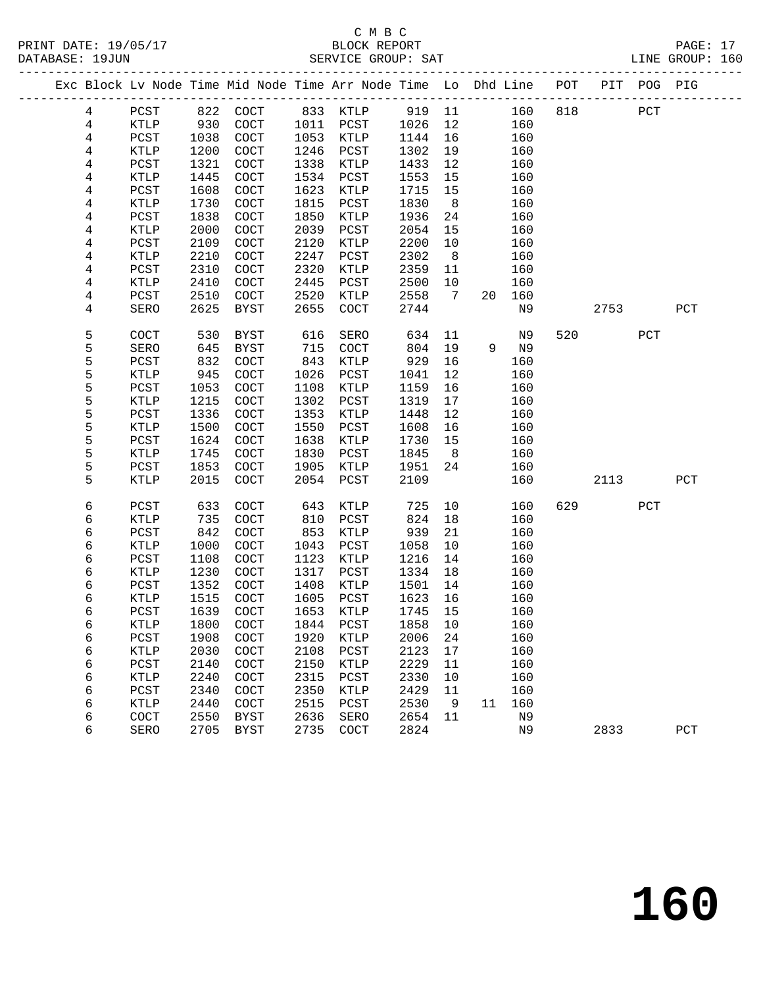|                | Exc Block Lv Node Time Mid Node Time Arr Node Time Lo Dhd Line POT |      |             |      |               |         |                 |    |     |     |      | PIT POG PIG  |              |  |
|----------------|--------------------------------------------------------------------|------|-------------|------|---------------|---------|-----------------|----|-----|-----|------|--------------|--------------|--|
| $\overline{4}$ | ${\tt PCST}$                                                       |      | 822 COCT    |      | 833 KTLP      | 919 11  |                 |    | 160 | 818 |      | $_{\rm PCT}$ |              |  |
| $\overline{4}$ | KTLP                                                               | 930  | COCT        | 1011 | PCST          | 1026    | 12              |    | 160 |     |      |              |              |  |
| 4              | ${\tt PCST}$                                                       | 1038 | COCT        | 1053 | KTLP          | 1144    | 16              |    | 160 |     |      |              |              |  |
| 4              | KTLP                                                               | 1200 | COCT        | 1246 | PCST          | 1302    | 19              |    | 160 |     |      |              |              |  |
| 4              | PCST                                                               | 1321 | COCT        | 1338 | KTLP          | 1433    | 12              |    | 160 |     |      |              |              |  |
| 4              | KTLP                                                               | 1445 | COCT        | 1534 | PCST          | 1553    | 15              |    | 160 |     |      |              |              |  |
| 4              | PCST                                                               | 1608 | COCT        | 1623 | KTLP          | 1715    | 15              |    | 160 |     |      |              |              |  |
| 4              | KTLP                                                               | 1730 | COCT        | 1815 | PCST          | 1830    | 8               |    | 160 |     |      |              |              |  |
| 4              | PCST                                                               | 1838 | COCT        | 1850 | KTLP          | 1936    | 24              |    | 160 |     |      |              |              |  |
| 4              | <b>KTLP</b>                                                        | 2000 | COCT        | 2039 | PCST          | 2054    | 15              |    | 160 |     |      |              |              |  |
| 4              | PCST                                                               | 2109 | COCT        | 2120 | KTLP          | 2200    | 10              |    | 160 |     |      |              |              |  |
| 4              | <b>KTLP</b>                                                        | 2210 | <b>COCT</b> | 2247 | PCST          | 2302    | 8 <sup>8</sup>  |    | 160 |     |      |              |              |  |
| 4              | PCST                                                               | 2310 | COCT        | 2320 | KTLP          | 2359    | 11              |    | 160 |     |      |              |              |  |
| 4              | KTLP                                                               | 2410 | COCT        | 2445 | PCST          | 2500    | 10              |    | 160 |     |      |              |              |  |
| 4              | PCST                                                               | 2510 | COCT        | 2520 | KTLP          | 2558    | $7\overline{ }$ | 20 | 160 |     |      |              |              |  |
| 4              | SERO                                                               | 2625 | BYST        | 2655 | COCT          | 2744    |                 |    | N9  |     | 2753 |              | PCT          |  |
|                |                                                                    |      |             |      |               |         |                 |    |     |     |      |              |              |  |
| 5              | COCT                                                               | 530  | BYST        | 616  | SERO          | 634     | 11              |    | N9  | 520 |      | PCT          |              |  |
| 5              | SERO                                                               | 645  | BYST        | 715  | COCT          | 804     | 19              | 9  | N9  |     |      |              |              |  |
| 5              | PCST                                                               | 832  | COCT        | 843  | KTLP          | 929     | 16              |    | 160 |     |      |              |              |  |
| 5              | KTLP                                                               | 945  | COCT        | 1026 | PCST          | 1041    | 12              |    | 160 |     |      |              |              |  |
| 5              | PCST                                                               | 1053 | COCT        | 1108 | KTLP          | 1159    | 16              |    | 160 |     |      |              |              |  |
| 5              | KTLP                                                               | 1215 | COCT        | 1302 | PCST          | 1319    | 17              |    | 160 |     |      |              |              |  |
| 5              | PCST                                                               | 1336 | COCT        | 1353 | KTLP          | 1448    | 12              |    | 160 |     |      |              |              |  |
| 5              | KTLP                                                               | 1500 | COCT        | 1550 | PCST          | 1608    | 16              |    | 160 |     |      |              |              |  |
| 5              | PCST                                                               | 1624 | COCT        | 1638 | KTLP          | 1730    | 15              |    | 160 |     |      |              |              |  |
| 5              | KTLP                                                               | 1745 | COCT        | 1830 | PCST          | 1845    | 8               |    | 160 |     |      |              |              |  |
| 5              | PCST                                                               | 1853 | COCT        | 1905 | KTLP          | 1951    | 24              |    | 160 |     |      |              |              |  |
| 5              | <b>KTLP</b>                                                        | 2015 | COCT        | 2054 | PCST          | 2109    |                 |    | 160 |     | 2113 |              | $_{\rm PCT}$ |  |
| 6              | PCST                                                               | 633  | COCT        | 643  | KTLP          | 725     | 10              |    | 160 | 629 |      | PCT          |              |  |
| 6              | KTLP                                                               | 735  | COCT        | 810  | PCST          | 824     | 18              |    | 160 |     |      |              |              |  |
| 6              | PCST                                                               | 842  | COCT        | 853  | KTLP          | 939     | 21              |    | 160 |     |      |              |              |  |
| 6              | KTLP                                                               | 1000 | COCT        | 1043 | PCST          | 1058    | 10              |    | 160 |     |      |              |              |  |
| 6              | PCST                                                               | 1108 | COCT        | 1123 | KTLP          | 1216    | 14              |    | 160 |     |      |              |              |  |
| 6              | KTLP                                                               | 1230 | COCT        | 1317 | PCST          | 1334    | 18              |    | 160 |     |      |              |              |  |
| 6              | PCST                                                               | 1352 | COCT        | 1408 | KTLP          | 1501    | 14              |    | 160 |     |      |              |              |  |
| 6              | KTLP                                                               | 1515 | COCT        | 1605 | PCST          | 1623    | 16              |    | 160 |     |      |              |              |  |
| 6              | PCST                                                               | 1639 | COCT        | 1653 | KTLP          | 1745    | 15              |    | 160 |     |      |              |              |  |
| 6              | $\texttt{KTLP}$                                                    |      | 1800 COCT   |      | 1844 PCST     | 1858 10 |                 |    | 160 |     |      |              |              |  |
| 6              | PCST                                                               | 1908 | COCT        | 1920 | KTLP          | 2006    | 24              |    | 160 |     |      |              |              |  |
| 6              | KTLP                                                               | 2030 | COCT        | 2108 | $_{\rm PCST}$ | 2123    | 17              |    | 160 |     |      |              |              |  |
| 6              | PCST                                                               | 2140 | COCT        | 2150 | KTLP          | 2229    | 11              |    | 160 |     |      |              |              |  |
| 6              | KTLP                                                               | 2240 | COCT        | 2315 | PCST          | 2330    | 10              |    | 160 |     |      |              |              |  |
| 6              | PCST                                                               | 2340 | COCT        | 2350 | KTLP          | 2429    | 11              |    | 160 |     |      |              |              |  |
| 6              | KTLP                                                               | 2440 | COCT        | 2515 | PCST          | 2530    | 9               | 11 | 160 |     |      |              |              |  |
| 6              | COCT                                                               | 2550 | <b>BYST</b> | 2636 | SERO          | 2654    | 11              |    | N9  |     |      |              |              |  |
| 6              | SERO                                                               | 2705 | <b>BYST</b> | 2735 | COCT          | 2824    |                 |    | N9  |     | 2833 |              | $_{\rm PCT}$ |  |
|                |                                                                    |      |             |      |               |         |                 |    |     |     |      |              |              |  |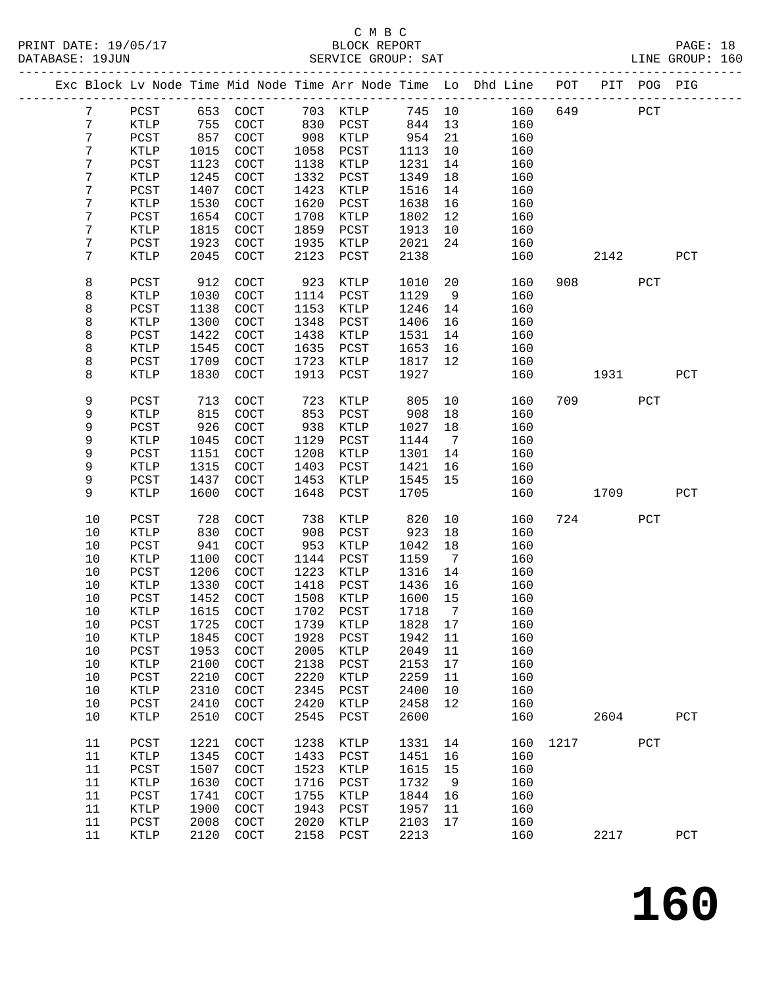# C M B C N B C N B C N B C C M B C

| PRINT DATE: 19/05/17<br>DATABASE: 19JUN |                 |                 |      |                             |      |                 |         |                 |                                                                                |      |                                                                                                                                                                                                                                 |     |             |  |
|-----------------------------------------|-----------------|-----------------|------|-----------------------------|------|-----------------|---------|-----------------|--------------------------------------------------------------------------------|------|---------------------------------------------------------------------------------------------------------------------------------------------------------------------------------------------------------------------------------|-----|-------------|--|
|                                         |                 |                 |      |                             |      |                 |         |                 | Exc Block Lv Node Time Mid Node Time Arr Node Time Lo Dhd Line POT PIT POG PIG |      |                                                                                                                                                                                                                                 |     |             |  |
|                                         | $7\phantom{.0}$ | PCST            |      | 653 COCT 703 KTLP           |      |                 |         |                 | 745 10 160                                                                     |      | 649 PCT                                                                                                                                                                                                                         |     |             |  |
|                                         | 7               | KTLP            | 755  | COCT                        |      | 830 PCST 844 13 |         |                 | 160                                                                            |      |                                                                                                                                                                                                                                 |     |             |  |
|                                         | $\overline{7}$  | PCST            | 857  | COCT                        |      | 908 KTLP        | 954     |                 | 21<br>160                                                                      |      |                                                                                                                                                                                                                                 |     |             |  |
|                                         | 7               | KTLP            | 1015 | COCT                        | 1058 | PCST            | 1113    | 10              | 160                                                                            |      |                                                                                                                                                                                                                                 |     |             |  |
|                                         | 7               | PCST            | 1123 | COCT                        | 1138 | KTLP            | 1231    | 14              | 160                                                                            |      |                                                                                                                                                                                                                                 |     |             |  |
|                                         | 7               | KTLP            | 1245 | COCT                        | 1332 | PCST            | 1349    | 18              | 160                                                                            |      |                                                                                                                                                                                                                                 |     |             |  |
|                                         | 7               | PCST            | 1407 | COCT                        | 1423 | KTLP            | 1516    | 14              | 160                                                                            |      |                                                                                                                                                                                                                                 |     |             |  |
|                                         | 7               | KTLP            | 1530 | COCT                        | 1620 | $_{\rm PCST}$   | 1638    | 16              | 160                                                                            |      |                                                                                                                                                                                                                                 |     |             |  |
|                                         | 7               | PCST            | 1654 | COCT                        | 1708 | KTLP            | 1802    | 12              | 160                                                                            |      |                                                                                                                                                                                                                                 |     |             |  |
|                                         | 7               | KTLP            | 1815 | COCT                        | 1859 | PCST            | 1913    | 10              | 160                                                                            |      |                                                                                                                                                                                                                                 |     |             |  |
|                                         | 7               | PCST            | 1923 | COCT                        | 1935 | KTLP            | 2021    | 24              | 160                                                                            |      |                                                                                                                                                                                                                                 |     |             |  |
|                                         | 7               | KTLP            | 2045 | COCT                        | 2123 | PCST            | 2138    |                 | 160                                                                            |      | 2142                                                                                                                                                                                                                            |     | PCT         |  |
|                                         | 8               | PCST            | 912  | COCT                        | 923  | KTLP            | 1010    |                 | 20<br>160                                                                      |      | 908 — 100                                                                                                                                                                                                                       | PCT |             |  |
|                                         | 8               | KTLP            | 1030 | COCT                        | 1114 | PCST            | 1129    | 9               | 160                                                                            |      |                                                                                                                                                                                                                                 |     |             |  |
|                                         | 8               | PCST            | 1138 | COCT                        | 1153 | KTLP            | 1246    | 14              | 160                                                                            |      |                                                                                                                                                                                                                                 |     |             |  |
|                                         | 8               | KTLP            | 1300 | COCT                        | 1348 | PCST            | 1406    | 16              | 160                                                                            |      |                                                                                                                                                                                                                                 |     |             |  |
|                                         | 8               | PCST            | 1422 | COCT                        | 1438 | KTLP            | 1531    | 14              | 160                                                                            |      |                                                                                                                                                                                                                                 |     |             |  |
|                                         | 8               | KTLP            | 1545 | COCT                        | 1635 | PCST            | 1653    | 16              | 160                                                                            |      |                                                                                                                                                                                                                                 |     |             |  |
|                                         | 8               | PCST            | 1709 | COCT                        | 1723 | KTLP            | 1817    | 12              | 160                                                                            |      |                                                                                                                                                                                                                                 |     |             |  |
|                                         | 8               | KTLP            | 1830 | COCT                        | 1913 | PCST            | 1927    |                 | 160                                                                            |      | 1931 — 1931 — 1932 — 1932 — 1932 — 1932 — 1932 — 1932 — 1932 — 1932 — 1933 — 1934 — 1934 — 1934 — 1934 — 1934 — 1934 — 1934 — 1934 — 1934 — 1934 — 1934 — 1934 — 1934 — 1934 — 1934 — 1934 — 1934 — 1934 — 1934 — 1934 — 1934 — |     | PCT         |  |
|                                         | 9               | PCST            | 713  | COCT                        | 723  | KTLP            | 805     |                 | 10<br>160                                                                      |      | 709 — 200                                                                                                                                                                                                                       | PCT |             |  |
|                                         | 9               | <b>KTLP</b>     | 815  | COCT                        | 853  | PCST            | 908     | 18              | 160                                                                            |      |                                                                                                                                                                                                                                 |     |             |  |
|                                         | 9               | PCST            | 926  | COCT                        | 938  | KTLP            | 1027    | 18              | 160                                                                            |      |                                                                                                                                                                                                                                 |     |             |  |
|                                         | 9               | KTLP            | 1045 | COCT                        | 1129 | PCST            | 1144    | $7\overline{ }$ | 160                                                                            |      |                                                                                                                                                                                                                                 |     |             |  |
|                                         | 9               | PCST            | 1151 | COCT                        | 1208 | KTLP            | 1301    | 14              | 160                                                                            |      |                                                                                                                                                                                                                                 |     |             |  |
|                                         | 9               | KTLP            | 1315 | COCT                        | 1403 | PCST            | 1421    | 16              | 160                                                                            |      |                                                                                                                                                                                                                                 |     |             |  |
|                                         | 9               | PCST            | 1437 | COCT                        | 1453 | KTLP            | 1545    | 15              | 160                                                                            |      |                                                                                                                                                                                                                                 |     |             |  |
|                                         | 9               | KTLP            | 1600 | <b>COCT</b>                 | 1648 | PCST            | 1705    |                 | 160                                                                            |      | 1709                                                                                                                                                                                                                            |     | PCT         |  |
|                                         | 10              | PCST            | 728  | <b>COCT</b>                 | 738  | KTLP            | 820     |                 | 10<br>160                                                                      |      | 724                                                                                                                                                                                                                             | PCT |             |  |
|                                         | 10              | KTLP            | 830  | COCT                        | 908  | PCST            | 923     | 18              | 160                                                                            |      |                                                                                                                                                                                                                                 |     |             |  |
|                                         | 10              | PCST            | 941  | COCT                        | 953  | KTLP            | 1042    | 18              | 160                                                                            |      |                                                                                                                                                                                                                                 |     |             |  |
|                                         | 10              | KTLP            | 1100 | COCT                        | 1144 | PCST            | 1159    | $7\overline{ }$ | 160                                                                            |      |                                                                                                                                                                                                                                 |     |             |  |
|                                         | 10              | PCST            | 1206 | COCT                        | 1223 | KTLP            | 1316 14 |                 | 160                                                                            |      |                                                                                                                                                                                                                                 |     |             |  |
|                                         | 10              | <b>KTLP</b>     | 1330 | COCT                        | 1418 | PCST            | 1436    | 16              | 160                                                                            |      |                                                                                                                                                                                                                                 |     |             |  |
|                                         | $10$            | PCST            |      | 1452 COCT 1508 KTLP 1600 15 |      |                 |         |                 | 160                                                                            |      |                                                                                                                                                                                                                                 |     |             |  |
|                                         | 10              | KTLP            | 1615 | COCT                        | 1702 | PCST            | 1718    | $7\overline{ }$ | 160                                                                            |      |                                                                                                                                                                                                                                 |     |             |  |
|                                         | 10              | PCST            | 1725 | COCT                        | 1739 | KTLP            | 1828    | 17              | 160                                                                            |      |                                                                                                                                                                                                                                 |     |             |  |
|                                         | 10              | KTLP            | 1845 | COCT                        | 1928 | PCST            | 1942    | 11              | 160                                                                            |      |                                                                                                                                                                                                                                 |     |             |  |
|                                         | 10              | PCST            | 1953 | COCT                        | 2005 | KTLP            | 2049    | 11              | 160                                                                            |      |                                                                                                                                                                                                                                 |     |             |  |
|                                         | $10$            | KTLP            | 2100 | COCT                        | 2138 | PCST            | 2153    | 17              | 160                                                                            |      |                                                                                                                                                                                                                                 |     |             |  |
|                                         | $10$            | PCST            | 2210 | COCT                        | 2220 | KTLP            | 2259    | 11              | 160                                                                            |      |                                                                                                                                                                                                                                 |     |             |  |
|                                         | $10$            | KTLP            | 2310 | COCT                        | 2345 | PCST            | 2400    | 10              | 160                                                                            |      |                                                                                                                                                                                                                                 |     |             |  |
|                                         | 10              | PCST            | 2410 | COCT                        | 2420 | KTLP            | 2458    | 12              | 160                                                                            |      |                                                                                                                                                                                                                                 |     |             |  |
|                                         | $10$            | KTLP            | 2510 | COCT                        | 2545 | PCST            | 2600    |                 | 160                                                                            |      | 2604                                                                                                                                                                                                                            |     | PCT         |  |
|                                         | 11              | PCST            | 1221 | COCT                        | 1238 | KTLP            | 1331    | 14              | 160                                                                            | 1217 |                                                                                                                                                                                                                                 | PCT |             |  |
|                                         | 11              | $\texttt{KTLP}$ | 1345 | COCT                        | 1433 | PCST            | 1451    | 16              | 160                                                                            |      |                                                                                                                                                                                                                                 |     |             |  |
|                                         | 11              | PCST            | 1507 | COCT                        | 1523 | KTLP            | 1615    | 15              | 160                                                                            |      |                                                                                                                                                                                                                                 |     |             |  |
|                                         | 11              | $\texttt{KTLP}$ | 1630 | COCT                        | 1716 | PCST            | 1732    | 9               | 160                                                                            |      |                                                                                                                                                                                                                                 |     |             |  |
|                                         | 11              | PCST            | 1741 | COCT                        | 1755 | KTLP            | 1844    | 16              | 160                                                                            |      |                                                                                                                                                                                                                                 |     |             |  |
|                                         | 11              | KTLP            | 1900 | COCT                        | 1943 | PCST            | 1957    | 11              | 160                                                                            |      |                                                                                                                                                                                                                                 |     |             |  |
|                                         | 11              | PCST            | 2008 | COCT                        | 2020 | KTLP            | 2103    | 17              | 160                                                                            |      |                                                                                                                                                                                                                                 |     |             |  |
|                                         | 11              | KTLP            | 2120 | COCT                        | 2158 | PCST            | 2213    |                 | 160                                                                            |      | 2217                                                                                                                                                                                                                            |     | ${\tt PCT}$ |  |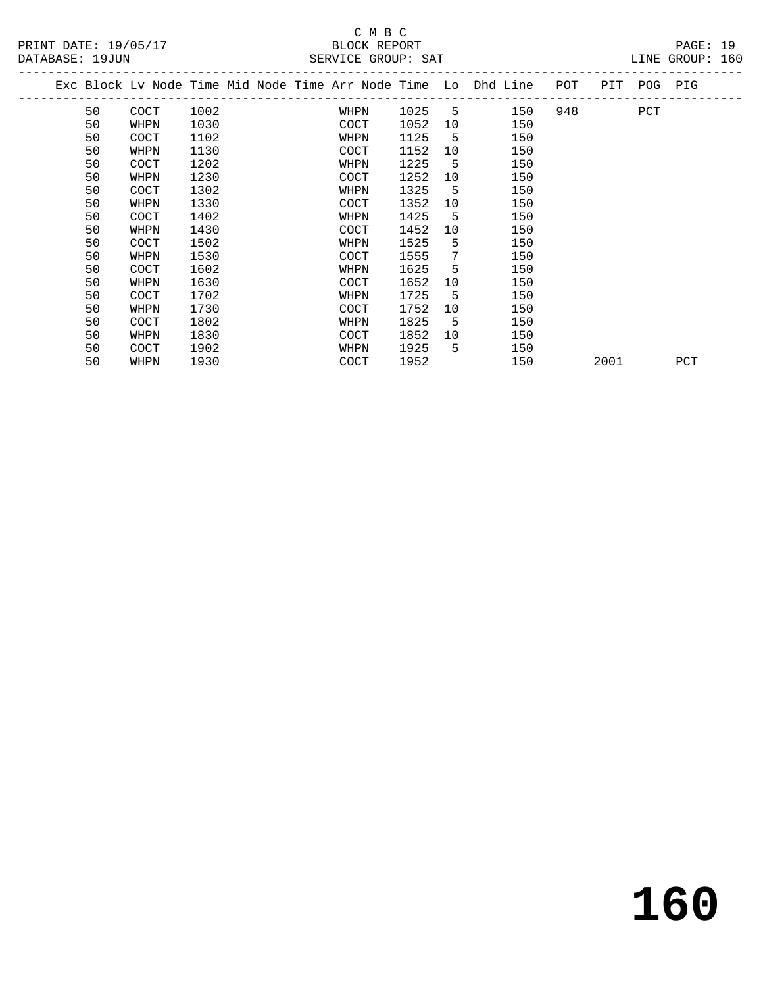|  |    | Exc Block Lv Node Time Mid Node Time Arr Node Time Lo Dhd Line |      |  |             |      |    |     | POT | PIT POG PIG |     |     |
|--|----|----------------------------------------------------------------|------|--|-------------|------|----|-----|-----|-------------|-----|-----|
|  | 50 | <b>COCT</b>                                                    | 1002 |  | WHPN        | 1025 | 5  | 150 | 948 |             | PCT |     |
|  | 50 | WHPN                                                           | 1030 |  | COCT        | 1052 | 10 | 150 |     |             |     |     |
|  | 50 | <b>COCT</b>                                                    | 1102 |  | WHPN        | 1125 | -5 | 150 |     |             |     |     |
|  | 50 | WHPN                                                           | 1130 |  | COCT        | 1152 | 10 | 150 |     |             |     |     |
|  | 50 | <b>COCT</b>                                                    | 1202 |  | WHPN        | 1225 | 5  | 150 |     |             |     |     |
|  | 50 | WHPN                                                           | 1230 |  | COCT        | 1252 | 10 | 150 |     |             |     |     |
|  | 50 | COCT                                                           | 1302 |  | WHPN        | 1325 | -5 | 150 |     |             |     |     |
|  | 50 | WHPN                                                           | 1330 |  | COCT        | 1352 | 10 | 150 |     |             |     |     |
|  | 50 | COCT                                                           | 1402 |  | WHPN        | 1425 | 5  | 150 |     |             |     |     |
|  | 50 | WHPN                                                           | 1430 |  | COCT        | 1452 | 10 | 150 |     |             |     |     |
|  | 50 | COCT                                                           | 1502 |  | WHPN        | 1525 | 5  | 150 |     |             |     |     |
|  | 50 | WHPN                                                           | 1530 |  | COCT        | 1555 | 7  | 150 |     |             |     |     |
|  | 50 | COCT                                                           | 1602 |  | WHPN        | 1625 | 5  | 150 |     |             |     |     |
|  | 50 | WHPN                                                           | 1630 |  | COCT        | 1652 | 10 | 150 |     |             |     |     |
|  | 50 | COCT                                                           | 1702 |  | WHPN        | 1725 | 5  | 150 |     |             |     |     |
|  | 50 | WHPN                                                           | 1730 |  | COCT        | 1752 | 10 | 150 |     |             |     |     |
|  | 50 | COCT                                                           | 1802 |  | WHPN        | 1825 | 5  | 150 |     |             |     |     |
|  | 50 | WHPN                                                           | 1830 |  | COCT        | 1852 | 10 | 150 |     |             |     |     |
|  | 50 | <b>COCT</b>                                                    | 1902 |  | WHPN        | 1925 | 5  | 150 |     |             |     |     |
|  | 50 | WHPN                                                           | 1930 |  | <b>COCT</b> | 1952 |    | 150 |     | 2001        |     | PCT |
|  |    |                                                                |      |  |             |      |    |     |     |             |     |     |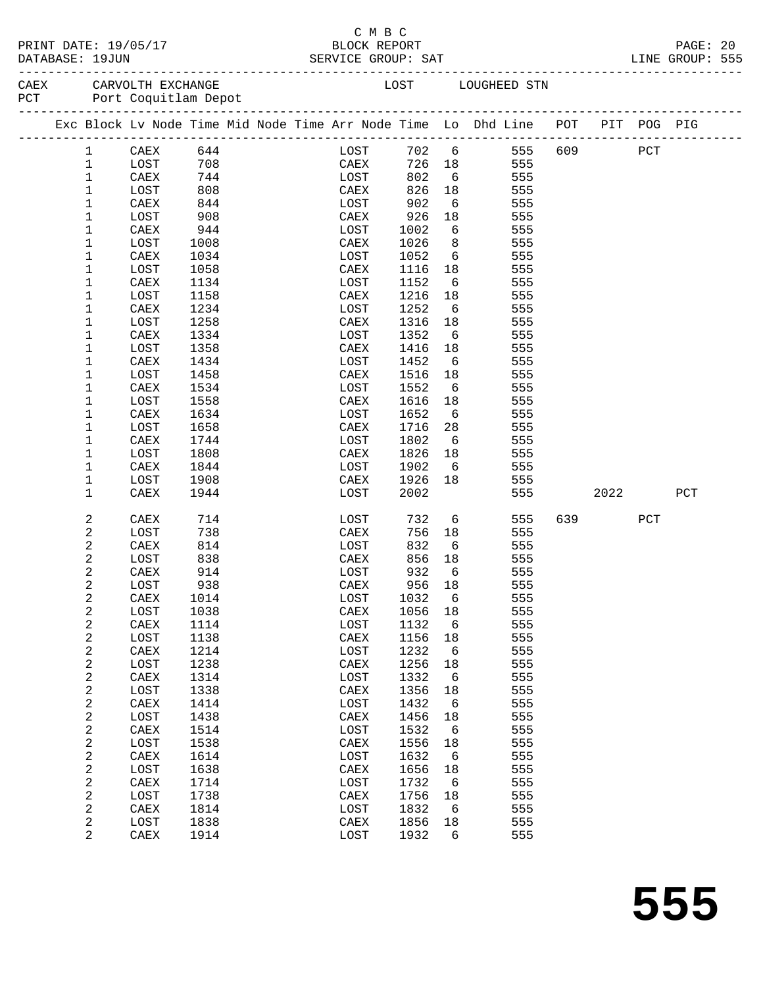|           | PRINT DATE: 19/05/1 |
|-----------|---------------------|
| --------- | $\bullet$           |

#### C M B C<br>
C M B C<br>
BLOCK REPOI PAGE: 20<br>PAGE: 20<br>RVICE GROUP: SAT RINT CROUP: 555 DATABASE: 19JUN SERVICE GROUP: SAT

| PCT |                | CAEX CARVOLTH EXCHANGE<br>Port Coquitlam Depot                                 |      |  |                 |              |             |                 | LOST LOUGHEED STN |     |             |     |     |
|-----|----------------|--------------------------------------------------------------------------------|------|--|-----------------|--------------|-------------|-----------------|-------------------|-----|-------------|-----|-----|
|     |                | Exc Block Lv Node Time Mid Node Time Arr Node Time Lo Dhd Line POT PIT POG PIG |      |  |                 |              |             |                 |                   |     |             |     |     |
|     | 1              | CAEX                                                                           | 644  |  |                 | LOST         |             | 702 6           |                   |     | 555 609 PCT |     |     |
|     | $\mathbf{1}$   | LOST                                                                           | 708  |  |                 | CAEX<br>LOST | 726 18      |                 | 555               |     |             |     |     |
|     | $\mathbf{1}$   | CAEX                                                                           | 744  |  |                 |              | 802         | 6               | 555               |     |             |     |     |
|     | $\mathbf{1}$   | LOST                                                                           | 808  |  | CAEX            |              | 826         | 18              | 555               |     |             |     |     |
|     | $\mathbf{1}$   | CAEX                                                                           | 844  |  | LOST            |              | 902         | 6               | 555               |     |             |     |     |
|     | $\mathbf 1$    | LOST                                                                           | 908  |  | CAEX            |              | 926         | 18              | 555               |     |             |     |     |
|     | $\mathbf 1$    | CAEX                                                                           | 944  |  | LOST            |              | 1002        | $6\overline{6}$ | 555               |     |             |     |     |
|     | 1              | LOST                                                                           | 1008 |  | CAEX            |              | 1026        | 8 <sup>8</sup>  | 555               |     |             |     |     |
|     | 1              | CAEX                                                                           | 1034 |  | LOST            |              | 1052        | 6               | 555               |     |             |     |     |
|     | 1              | LOST                                                                           | 1058 |  | CAEX            |              | 1116        | 18              | 555               |     |             |     |     |
|     | 1              | CAEX                                                                           | 1134 |  | LOST            |              | 1152        | 6               | 555               |     |             |     |     |
|     | 1              | LOST                                                                           | 1158 |  | CAEX            |              | 1216        | 18              | 555               |     |             |     |     |
|     | 1              | CAEX                                                                           | 1234 |  | LOST            |              | 1252        | 6               | 555               |     |             |     |     |
|     | 1              | LOST                                                                           | 1258 |  | CAEX            |              | 1316        | 18              | 555               |     |             |     |     |
|     | 1              | CAEX                                                                           | 1334 |  | LOST            |              | 1352        | 6               | 555               |     |             |     |     |
|     | 1              | LOST                                                                           | 1358 |  | CAEX            |              | 1416        | 18              | 555               |     |             |     |     |
|     | 1              | CAEX                                                                           | 1434 |  | LOST            |              | 1452        | 6               | 555               |     |             |     |     |
|     | 1              | LOST                                                                           | 1458 |  | CAEX            |              | 1516        | 18              | 555               |     |             |     |     |
|     | $\mathbf 1$    | CAEX                                                                           | 1534 |  | LOST            |              | 1552        | 6               | 555               |     |             |     |     |
|     | 1              | LOST                                                                           | 1558 |  | CAEX            |              | 1616        | 18              | 555               |     |             |     |     |
|     | 1              | CAEX                                                                           | 1634 |  | LOST            |              | 1652        | 6               | 555               |     |             |     |     |
|     | $\mathbf 1$    | LOST                                                                           | 1658 |  | CAEX            |              | 1716        | 28              | 555               |     |             |     |     |
|     | 1              | CAEX                                                                           | 1744 |  | LOST            |              | 1802        | 6               | 555               |     |             |     |     |
|     | 1              | LOST                                                                           | 1808 |  | CAEX            |              | 1826        | 18              | 555               |     |             |     |     |
|     | 1              | CAEX                                                                           | 1844 |  | LOST            |              | 1902        | 6               | 555               |     |             |     |     |
|     | $\mathbf 1$    | LOST                                                                           | 1908 |  | CAEX            |              | 1926        | 18              | 555               |     |             |     |     |
|     | $\mathbf{1}$   | CAEX                                                                           | 1944 |  | LOST            |              | 2002        |                 | 555               |     | 2022        |     | PCT |
|     | 2              | CAEX                                                                           | 714  |  | LOST            |              | 732         | 6               | 555               | 639 |             | PCT |     |
|     | 2              | LOST                                                                           | 738  |  | CAEX            |              | 756         | 18              | 555               |     |             |     |     |
|     | 2              | CAEX                                                                           | 814  |  | LOST            |              | 832         | 6               | 555               |     |             |     |     |
|     | 2              | LOST                                                                           | 838  |  | CAEX            |              | 856         | 18              | 555               |     |             |     |     |
|     | 2              | CAEX                                                                           | 914  |  | LOST            |              | 932         | 6               | 555               |     |             |     |     |
|     | $\overline{c}$ | LOST                                                                           | 938  |  | CAEX            |              | 956         | 18              | 555               |     |             |     |     |
|     | 2              | CAEX                                                                           | 1014 |  | LOST            |              | 1032        | 6               | 555               |     |             |     |     |
|     | $\sqrt{2}$     | LOST                                                                           | 1038 |  | CAEX            |              | 1056 18     |                 | 555               |     |             |     |     |
|     | $\sqrt{2}$     | CAEX 1114                                                                      |      |  |                 |              | LOST 1132 6 |                 | 555               |     |             |     |     |
|     | 2              | LOST                                                                           | 1138 |  | CAEX            |              | 1156 18     |                 | 555               |     |             |     |     |
|     | 2              | CAEX                                                                           | 1214 |  | LOST            |              | 1232        | - 6             | 555               |     |             |     |     |
|     | $\mathbf{2}$   | LOST                                                                           | 1238 |  | $\mathtt{CAEX}$ |              | 1256        | 18              | 555               |     |             |     |     |
|     | 2              | CAEX                                                                           | 1314 |  | LOST            |              | 1332        | 6               | 555               |     |             |     |     |
|     | $\mathbf{2}$   | LOST                                                                           | 1338 |  | $\mathtt{CAEX}$ |              | 1356        | 18              | 555               |     |             |     |     |
|     | 2              | CAEX                                                                           | 1414 |  | LOST            |              | 1432        | 6               | 555               |     |             |     |     |
|     | $\sqrt{2}$     | LOST                                                                           | 1438 |  | CAEX            |              | 1456        | 18              | 555               |     |             |     |     |
|     | 2              | CAEX                                                                           | 1514 |  | LOST            |              | 1532        | 6               | 555               |     |             |     |     |
|     | $\sqrt{2}$     | LOST                                                                           | 1538 |  | CAEX            |              | 1556        | 18              | 555               |     |             |     |     |
|     | 2              | CAEX                                                                           | 1614 |  | LOST            |              | 1632        | 6               | 555               |     |             |     |     |
|     | $\mathbf{2}$   | LOST                                                                           | 1638 |  | CAEX            |              | 1656        | 18              | 555               |     |             |     |     |
|     | 2              | CAEX                                                                           | 1714 |  | LOST            |              | 1732        | 6               | 555               |     |             |     |     |
|     | 2              | LOST                                                                           | 1738 |  | CAEX            |              | 1756        | 18              | 555               |     |             |     |     |
|     | 2              | CAEX                                                                           | 1814 |  | LOST            |              | 1832        | 6               | 555               |     |             |     |     |
|     | 2              | LOST                                                                           | 1838 |  | CAEX            |              | 1856        | 18              | 555               |     |             |     |     |
|     | $\overline{a}$ | CAEX                                                                           | 1914 |  | LOST            |              | 1932        | 6               | 555               |     |             |     |     |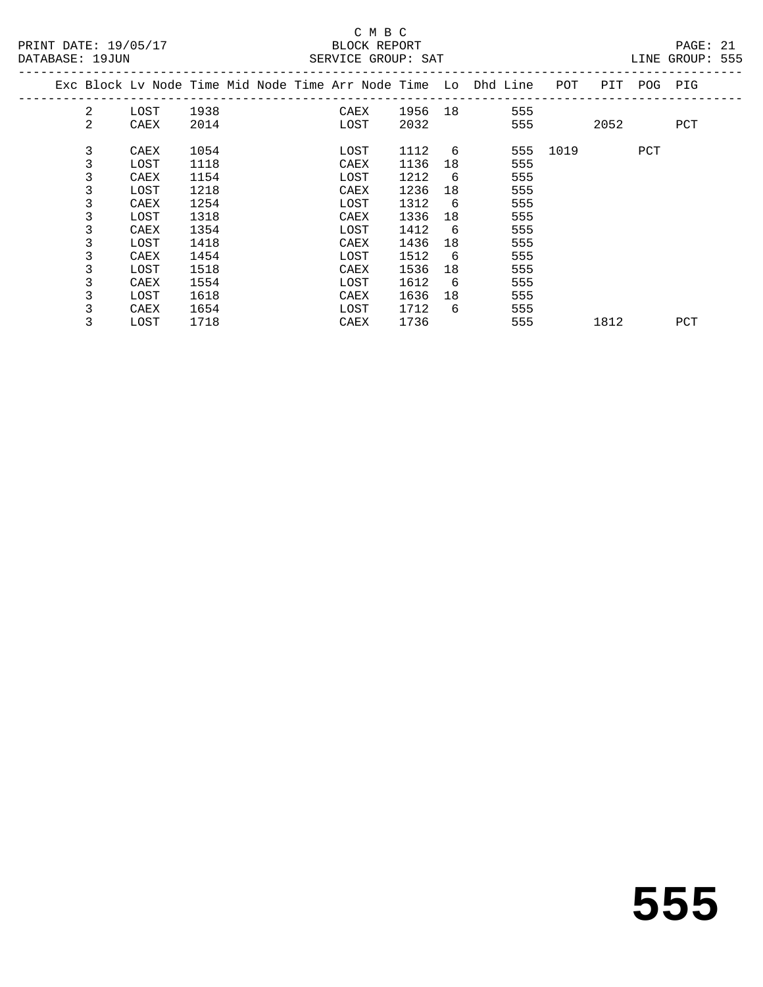| PRINT DATE: 19/05/17<br>DATABASE: 19JUN |                |                                                                                |      |  |             |      | BLOCK REPORT | SERVICE GROUP: SAT |                 |     |              |  | PAGE: 21<br>LINE GROUP: 555 |  |
|-----------------------------------------|----------------|--------------------------------------------------------------------------------|------|--|-------------|------|--------------|--------------------|-----------------|-----|--------------|--|-----------------------------|--|
|                                         |                | Exc Block Lv Node Time Mid Node Time Arr Node Time Lo Dhd Line POT PIT POG PIG |      |  |             |      |              |                    |                 |     |              |  |                             |  |
|                                         | $\mathbf{2}$   | LOST                                                                           |      |  |             |      |              |                    |                 |     |              |  |                             |  |
|                                         | $\overline{a}$ | CAEX                                                                           | 2014 |  | <b>LOST</b> |      |              | 2032 and $\sim$    |                 |     | 555 2052 PCT |  |                             |  |
|                                         | 3              | CAEX                                                                           | 1054 |  |             | LOST |              | 1112 6             |                 |     | 555 1019 PCT |  |                             |  |
|                                         | 3              | LOST                                                                           | 1118 |  |             | CAEX |              | 1136               |                 | 555 |              |  |                             |  |
|                                         | 3              | CAEX                                                                           | 1154 |  |             | LOST |              | 1212               | 6               | 555 |              |  |                             |  |
|                                         | 3              | LOST                                                                           | 1218 |  |             | CAEX |              | 1236               | 18              | 555 |              |  |                             |  |
|                                         | 3              | CAEX                                                                           | 1254 |  |             | LOST |              | 1312               | $6\overline{6}$ | 555 |              |  |                             |  |
|                                         | 3              | LOST                                                                           | 1318 |  |             | CAEX |              | 1336               | 18              | 555 |              |  |                             |  |
|                                         | 3              | CAEX                                                                           | 1354 |  |             | LOST |              | 1412               | $6\overline{6}$ | 555 |              |  |                             |  |
|                                         | 3              | LOST                                                                           | 1418 |  |             | CAEX |              | 1436               | 18              | 555 |              |  |                             |  |
|                                         | 3              | CAEX                                                                           | 1454 |  |             | LOST |              | 1512               | 6               | 555 |              |  |                             |  |
|                                         | 3              | LOST                                                                           | 1518 |  |             | CAEX |              | 1536               |                 | 555 |              |  |                             |  |
|                                         | 3              | CAEX                                                                           | 1554 |  |             | LOST |              | 1612               | $6\overline{6}$ | 555 |              |  |                             |  |
|                                         | 3              | LOST                                                                           | 1618 |  |             | CAEX |              | 1636               | 18              | 555 |              |  |                             |  |
|                                         | 3              | CAEX                                                                           | 1654 |  |             | LOST |              | 1712 6             |                 | 555 |              |  |                             |  |
|                                         | 3              | LOST                                                                           | 1718 |  |             | CAEX |              | 1736               |                 | 555 | 1812 PCT     |  |                             |  |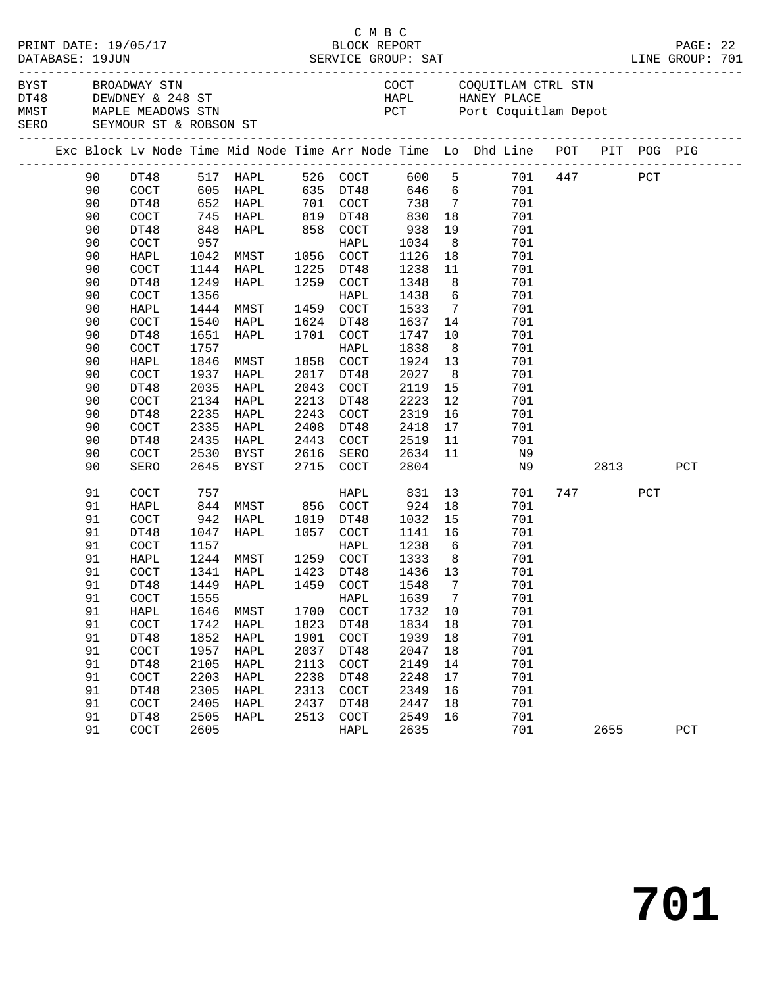|      | DATABASE: 19JUN | PRINT DATE: 19/05/17                                                  |                       |                                                                                                                        |      | СМВС      | BLOCK REPORT |                                                                         |                                                                                |  |          |      | PAGE: 22 |  |
|------|-----------------|-----------------------------------------------------------------------|-----------------------|------------------------------------------------------------------------------------------------------------------------|------|-----------|--------------|-------------------------------------------------------------------------|--------------------------------------------------------------------------------|--|----------|------|----------|--|
| BYST |                 | BROADWAY STN<br>MMST MAPLE MEADOWS STN<br>SERO SEYMOUR ST & ROBSON ST | DT48 DEWDNEY & 248 ST |                                                                                                                        |      |           |              | COCT COQUITLAM CTRL STN<br>HAPL HANEY PLACE<br>PCT Port Coquitlam Depot |                                                                                |  |          |      |          |  |
|      |                 |                                                                       |                       |                                                                                                                        |      |           |              |                                                                         | Exc Block Lv Node Time Mid Node Time Arr Node Time Lo Dhd Line POT PIT POG PIG |  |          |      |          |  |
|      | 90              |                                                                       |                       | DT48            517     HAPL                 526     COCT<br>COCT              605     HAPL               635     DT48 |      |           |              |                                                                         | 600 5 701 447 PCT<br>646 6 701                                                 |  |          |      |          |  |
|      | 90              |                                                                       |                       |                                                                                                                        |      |           |              |                                                                         |                                                                                |  |          |      |          |  |
|      | 90              | DT48                                                                  |                       | 652 HAPL                                                                                                               | 701  | COCT      | 738          |                                                                         | $7\overline{ }$<br>701                                                         |  |          |      |          |  |
|      | 90              | COCT                                                                  | 745                   | HAPL                                                                                                                   | 819  | DT48      | 830          | 18                                                                      | 701                                                                            |  |          |      |          |  |
|      | 90              | DT48                                                                  |                       | HAPL                                                                                                                   |      | 858 COCT  | 938          | 19                                                                      | 701                                                                            |  |          |      |          |  |
|      | 90              | COCT                                                                  | 848<br>957            |                                                                                                                        |      | HAPL      | 1034         | 8 <sup>8</sup>                                                          | 701                                                                            |  |          |      |          |  |
|      | 90              | HAPL                                                                  | 1042                  | MMST                                                                                                                   |      | 1056 COCT | 1126         | 18                                                                      | 701                                                                            |  |          |      |          |  |
|      | 90              | COCT                                                                  | 1144                  | HAPL                                                                                                                   |      | 1225 DT48 | 1238         | 11                                                                      | 701                                                                            |  |          |      |          |  |
|      | 90              | DT48                                                                  | 1249                  | HAPL                                                                                                                   |      | 1259 COCT | 1348         | 8                                                                       | 701                                                                            |  |          |      |          |  |
|      | 90              | $\operatorname{COT}$                                                  | 1356                  |                                                                                                                        |      | HAPL      | 1438         | $6\overline{6}$                                                         | 701                                                                            |  |          |      |          |  |
|      | 90              | HAPL                                                                  | 1444                  | MMST                                                                                                                   | 1459 | COCT      | 1533         | $7\overline{ }$                                                         | 701                                                                            |  |          |      |          |  |
|      | 90              | $\operatorname{COT}$                                                  | 1540                  | HAPL                                                                                                                   |      | 1624 DT48 | 1637         | 14                                                                      | 701                                                                            |  |          |      |          |  |
|      | 90              | DT48                                                                  | 1651                  | HAPL                                                                                                                   | 1701 | COCT      | 1747         | 10                                                                      | 701                                                                            |  |          |      |          |  |
|      | 90              | $\operatorname{COT}$                                                  | 1757                  |                                                                                                                        |      | HAPL      | 1838         | 8 <sup>8</sup>                                                          |                                                                                |  |          |      |          |  |
|      |                 |                                                                       |                       |                                                                                                                        |      |           |              |                                                                         | 701                                                                            |  |          |      |          |  |
|      | 90              | HAPL                                                                  | 1846                  | MMST                                                                                                                   | 1858 | COCT      | 1924         | 13                                                                      | 701                                                                            |  |          |      |          |  |
|      | 90              | $\operatorname{COT}$                                                  | 1937                  | HAPL                                                                                                                   | 2017 | DT48      | 2027         | 8 <sup>8</sup>                                                          | 701                                                                            |  |          |      |          |  |
|      | 90              | DT48                                                                  | 2035                  | HAPL                                                                                                                   | 2043 | COCT      | 2119         | 15                                                                      | 701                                                                            |  |          |      |          |  |
|      | 90              | COCT                                                                  | 2134                  | HAPL                                                                                                                   | 2213 | DT48      | 2223         | 12                                                                      | 701                                                                            |  |          |      |          |  |
|      | 90              | DT48                                                                  | 2235                  | HAPL                                                                                                                   | 2243 | COCT      | 2319         | 16                                                                      | 701                                                                            |  |          |      |          |  |
|      | 90              | COCT                                                                  | 2335                  | HAPL                                                                                                                   | 2408 | DT48      | 2418         | 17                                                                      | 701                                                                            |  |          |      |          |  |
|      | 90              | DT48                                                                  | 2435                  | HAPL                                                                                                                   | 2443 | COCT      | 2519         | 11                                                                      | 701                                                                            |  |          |      |          |  |
|      | 90              | COCT                                                                  | 2530                  | BYST                                                                                                                   | 2616 | SERO      | 2634         | 11                                                                      | N9                                                                             |  |          |      |          |  |
|      | 90              | SERO                                                                  |                       | 2645 BYST                                                                                                              |      | 2715 COCT | 2804         |                                                                         | N9                                                                             |  |          | 2813 | PCT      |  |
|      | 91              | COCT                                                                  | 757                   |                                                                                                                        |      | HAPL      | 831          | 13                                                                      | 701                                                                            |  | 747 — 10 | PCT  |          |  |
|      | 91              | HAPL                                                                  | 844                   | MMST 856 COCT                                                                                                          |      |           | 924          | 18                                                                      | 701                                                                            |  |          |      |          |  |
|      | 91              | COCT                                                                  | 942                   | HAPL                                                                                                                   | 1019 | DT48      | 1032         | 15                                                                      | 701                                                                            |  |          |      |          |  |
|      | 91              | DT48                                                                  | 1047                  | HAPL                                                                                                                   | 1057 | COCT      | 1141         | 16                                                                      | 701                                                                            |  |          |      |          |  |
|      | 91              | COCT                                                                  | 1157                  |                                                                                                                        |      | HAPL      | 1238         | $6\overline{6}$                                                         | 701                                                                            |  |          |      |          |  |
|      | 91              | HAPL                                                                  | 1244                  | MMST                                                                                                                   |      | 1259 COCT | 1333         | 8 <sup>8</sup>                                                          | 701                                                                            |  |          |      |          |  |
|      | 91              | COCT                                                                  |                       | 1341 HAPL                                                                                                              |      | 1423 DT48 | 1436 13      |                                                                         | 701                                                                            |  |          |      |          |  |
|      | 91              | DT48                                                                  |                       | 1449 HAPL 1459 COCT 1548 7                                                                                             |      |           |              |                                                                         | 701                                                                            |  |          |      |          |  |
|      | 91              | COCT                                                                  | 1555                  |                                                                                                                        |      | HAPL      | 1639         | $\overline{7}$                                                          | 701                                                                            |  |          |      |          |  |
|      | 91              | HAPL                                                                  | 1646                  | MMST                                                                                                                   | 1700 | COCT      | 1732         | 10                                                                      | 701                                                                            |  |          |      |          |  |
|      | 91              | $\operatorname{COT}$                                                  | 1742                  | HAPL                                                                                                                   | 1823 | DT48      | 1834         | 18                                                                      | 701                                                                            |  |          |      |          |  |
|      | 91              | DT48                                                                  | 1852                  | HAPL                                                                                                                   | 1901 | COCT      | 1939         | 18                                                                      | 701                                                                            |  |          |      |          |  |
|      | 91              | COCT                                                                  | 1957                  | HAPL                                                                                                                   | 2037 | DT48      | 2047         | 18                                                                      | 701                                                                            |  |          |      |          |  |
|      | 91              | DT48                                                                  | 2105                  | HAPL                                                                                                                   | 2113 | COCT      | 2149         | 14                                                                      | 701                                                                            |  |          |      |          |  |
|      | 91              | COCT                                                                  | 2203                  | HAPL                                                                                                                   | 2238 | DT48      | 2248         | 17                                                                      | 701                                                                            |  |          |      |          |  |
|      | 91              | DT48                                                                  | 2305                  | HAPL                                                                                                                   | 2313 | COCT      | 2349         | 16                                                                      | 701                                                                            |  |          |      |          |  |
|      | 91              | COCT                                                                  | 2405                  | HAPL                                                                                                                   | 2437 | DT48      | 2447         | 18                                                                      | 701                                                                            |  |          |      |          |  |
|      | 91              | DT48                                                                  | 2505                  | HAPL                                                                                                                   | 2513 | COCT      | 2549         | 16                                                                      | 701                                                                            |  |          |      |          |  |
|      | 91              | COCT                                                                  | 2605                  |                                                                                                                        |      | HAPL      | 2635         |                                                                         | 701                                                                            |  | 2655     |      | PCT      |  |
|      |                 |                                                                       |                       |                                                                                                                        |      |           |              |                                                                         |                                                                                |  |          |      |          |  |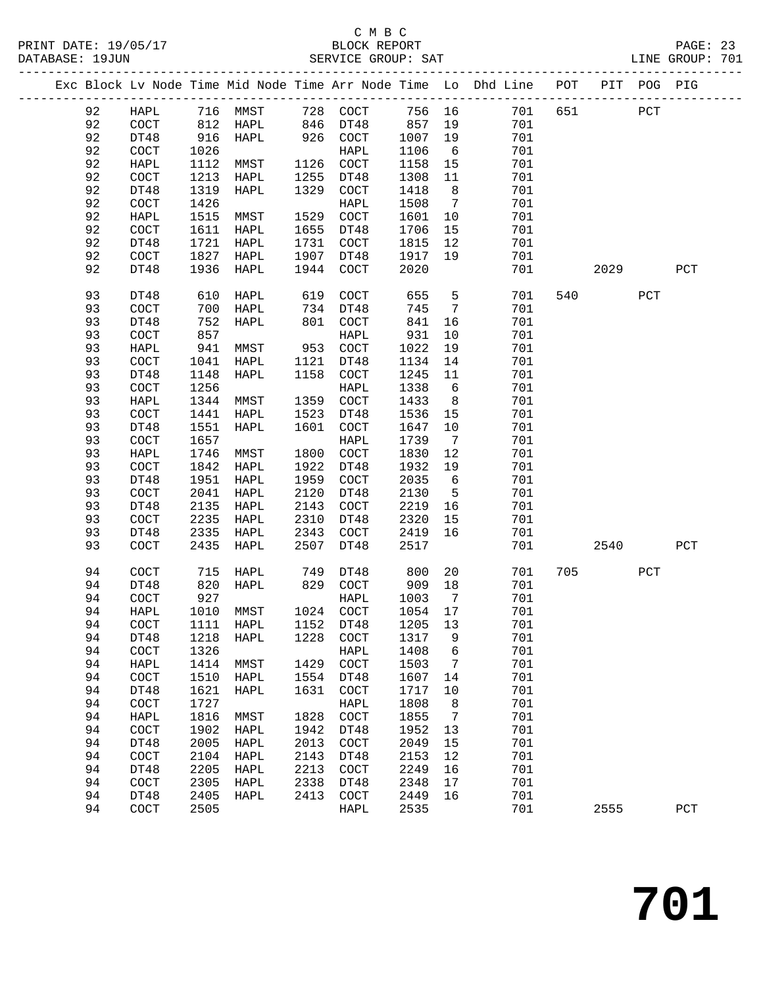# C M B C<br>BLOCK REPORT

PAGE: 23<br>LINE GROUP: 701

|  |          |                       |              |          |      |                      |              |                              | Exc Block Lv Node Time Mid Node Time Arr Node Time Lo Dhd Line POT |     |      | PIT POG PIG |              |
|--|----------|-----------------------|--------------|----------|------|----------------------|--------------|------------------------------|--------------------------------------------------------------------|-----|------|-------------|--------------|
|  | 92       | HAPL                  |              | 716 MMST |      | 728 COCT             | 756 16       |                              | 701                                                                | 651 |      | PCT         |              |
|  | 92       | COCT                  | 812          | HAPL     |      | 846 DT48             | 857          | 19                           | 701                                                                |     |      |             |              |
|  | 92       | DT48                  | 916          | HAPL     | 926  | COCT                 | 1007         | 19                           | 701                                                                |     |      |             |              |
|  | 92       | $\operatorname{COT}$  | 1026         |          |      | HAPL                 | 1106         | 6                            | 701                                                                |     |      |             |              |
|  | 92       | HAPL                  | 1112         | MMST     | 1126 | COCT                 | 1158         | 15                           | 701                                                                |     |      |             |              |
|  | 92       | $\operatorname{COT}$  | 1213         | HAPL     | 1255 | DT48                 | 1308         | 11                           | 701                                                                |     |      |             |              |
|  | 92       | DT48                  | 1319         | HAPL     | 1329 | COCT                 | 1418         | 8                            | 701                                                                |     |      |             |              |
|  | 92       | COCT                  | 1426         |          |      | HAPL                 | 1508         | $7\overline{ }$              | 701                                                                |     |      |             |              |
|  | 92       | HAPL                  | 1515         | MMST     | 1529 | COCT                 | 1601         | 10                           | 701                                                                |     |      |             |              |
|  | 92       | COCT                  | 1611         | HAPL     | 1655 | DT48                 | 1706         | 15                           | 701                                                                |     |      |             |              |
|  | 92       | DT48                  | 1721         | HAPL     | 1731 | COCT                 | 1815         | 12                           | 701                                                                |     |      |             |              |
|  | 92       | COCT                  | 1827         | HAPL     | 1907 | DT48                 | 1917         | 19                           | 701                                                                |     |      |             |              |
|  | 92       | DT48                  | 1936         | HAPL     | 1944 | COCT                 | 2020         |                              | 701                                                                |     | 2029 |             | PCT          |
|  |          |                       |              |          |      |                      |              |                              |                                                                    |     |      |             |              |
|  | 93       | DT48                  | 610          | HAPL     | 619  | COCT                 | 655          | 5                            | 701                                                                | 540 |      | PCT         |              |
|  | 93       | COCT                  | 700          | HAPL     | 734  | DT48                 | 745          | $7\phantom{.0}\phantom{.0}7$ | 701                                                                |     |      |             |              |
|  | 93       | DT48                  | 752          | HAPL     | 801  | COCT                 | 841          | 16                           | 701                                                                |     |      |             |              |
|  | 93       | COCT                  | 857          |          |      | HAPL                 | 931          | 10                           | 701                                                                |     |      |             |              |
|  | 93       | HAPL                  | 941          | MMST     | 953  | COCT                 | 1022         | 19                           | 701                                                                |     |      |             |              |
|  | 93       | $\operatorname{COCT}$ | 1041         | HAPL     | 1121 | DT48                 | 1134         | 14                           | 701                                                                |     |      |             |              |
|  | 93       | DT48                  | 1148         | HAPL     | 1158 | COCT                 | 1245         | 11                           | 701                                                                |     |      |             |              |
|  | 93       | $\operatorname{COT}$  | 1256         |          |      | HAPL                 | 1338         | 6                            | 701                                                                |     |      |             |              |
|  | 93       | HAPL                  | 1344         | MMST     | 1359 | COCT                 | 1433         | 8                            | 701                                                                |     |      |             |              |
|  | 93       | $\operatorname{COT}$  | 1441         | HAPL     | 1523 | DT48                 | 1536         | 15                           | 701                                                                |     |      |             |              |
|  | 93       | DT48                  | 1551         | HAPL     | 1601 | COCT                 | 1647         | 10                           | 701                                                                |     |      |             |              |
|  | 93       | $\operatorname{COT}$  | 1657         |          |      | HAPL                 | 1739         | $7\phantom{.0}\,$            | 701                                                                |     |      |             |              |
|  | 93       | HAPL                  | 1746         | MMST     | 1800 | $\operatorname{COT}$ | 1830         | 12                           | 701                                                                |     |      |             |              |
|  | 93       | COCT                  | 1842         | HAPL     | 1922 | DT48                 | 1932         | 19                           | 701                                                                |     |      |             |              |
|  | 93       | DT48                  | 1951         | HAPL     | 1959 | COCT                 | 2035         | 6                            | 701                                                                |     |      |             |              |
|  | 93       | COCT                  | 2041         | HAPL     | 2120 | DT48                 | 2130         | $5^{\circ}$                  | 701                                                                |     |      |             |              |
|  | 93       | DT48                  | 2135         | HAPL     | 2143 | COCT                 | 2219         | 16                           | 701                                                                |     |      |             |              |
|  | 93       | COCT                  | 2235         | HAPL     | 2310 | DT48                 | 2320         | 15                           | 701                                                                |     |      |             |              |
|  | 93       | DT48                  | 2335         | HAPL     | 2343 | COCT                 | 2419         | 16                           | 701                                                                |     |      |             |              |
|  | 93       | $\operatorname{COT}$  | 2435         | HAPL     | 2507 | DT48                 | 2517         |                              | 701                                                                |     | 2540 |             | $_{\rm PCT}$ |
|  | 94       | COCT                  | 715          | HAPL     | 749  | DT48                 | 800          | 20                           | 701                                                                | 705 |      | PCT         |              |
|  | 94       | DT48                  | 820          | HAPL     | 829  | COCT                 | 909          | 18                           | 701                                                                |     |      |             |              |
|  | 94       | COCT                  | 927          |          |      | HAPL                 | 1003         | $\overline{7}$               | 701                                                                |     |      |             |              |
|  | 94       | HAPL                  | 1010         | MMST     |      | 1024 COCT            | 1054 17      |                              | 701                                                                |     |      |             |              |
|  | 94       | COCT                  | 1111         | HAPL     | 1152 | DT48                 | 1205         | 13                           | 701                                                                |     |      |             |              |
|  | 94       | DT48                  | 1218         | HAPL     | 1228 | COCT                 | 1317         | 9                            | 701                                                                |     |      |             |              |
|  | 94       | COCT                  | 1326         |          |      | HAPL                 | 1408         | 6                            | 701                                                                |     |      |             |              |
|  | 94       | HAPL                  | 1414         | MMST     | 1429 | $\operatorname{COT}$ | 1503         | 7                            | 701                                                                |     |      |             |              |
|  | 94       | COCT                  | 1510         | HAPL     | 1554 | DT48                 | 1607         | 14                           | 701                                                                |     |      |             |              |
|  | 94       | DT48                  | 1621         | HAPL     | 1631 | COCT                 | 1717         | 10                           | 701                                                                |     |      |             |              |
|  |          |                       |              |          |      |                      |              |                              |                                                                    |     |      |             |              |
|  | 94<br>94 | COCT<br>HAPL          | 1727<br>1816 |          | 1828 | HAPL<br>COCT         | 1808<br>1855 | 8<br>7                       | 701<br>701                                                         |     |      |             |              |
|  |          | COCT                  | 1902         | MMST     | 1942 | DT48                 | 1952         |                              | 701                                                                |     |      |             |              |
|  | 94       |                       |              | HAPL     |      |                      |              | 13                           | 701                                                                |     |      |             |              |
|  | 94       | DT48                  | 2005         | HAPL     | 2013 | COCT                 | 2049         | 15                           |                                                                    |     |      |             |              |
|  | 94       | COCT                  | 2104         | HAPL     | 2143 | DT48                 | 2153         | 12                           | 701                                                                |     |      |             |              |
|  | 94       | DT48                  | 2205         | HAPL     | 2213 | COCT                 | 2249         | 16                           | 701                                                                |     |      |             |              |
|  | 94       | COCT                  | 2305         | HAPL     | 2338 | DT48                 | 2348         | 17                           | 701                                                                |     |      |             |              |
|  | 94       | DT48                  | 2405         | HAPL     | 2413 | COCT                 | 2449         | 16                           | 701                                                                |     |      |             |              |
|  | 94       | COCT                  | 2505         |          |      | HAPL                 | 2535         |                              | 701                                                                |     | 2555 |             | PCT          |